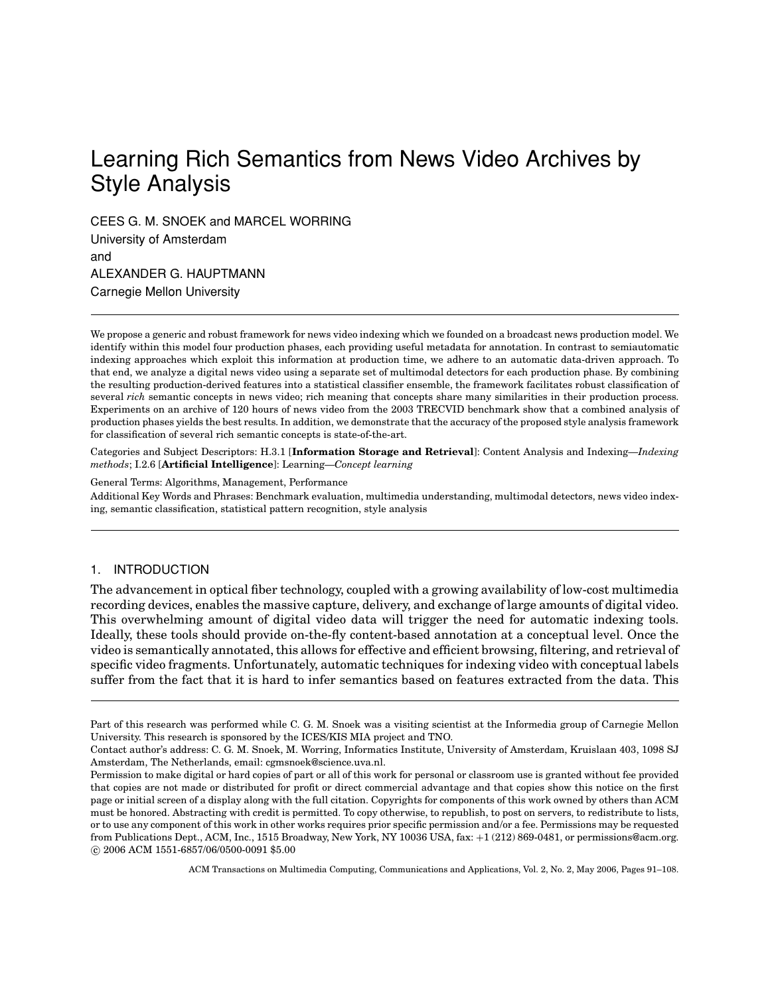# Learning Rich Semantics from News Video Archives by Style Analysis

CEES G. M. SNOEK and MARCEL WORRING University of Amsterdam

and ALEXANDER G. HAUPTMANN Carnegie Mellon University

We propose a generic and robust framework for news video indexing which we founded on a broadcast news production model. We identify within this model four production phases, each providing useful metadata for annotation. In contrast to semiautomatic indexing approaches which exploit this information at production time, we adhere to an automatic data-driven approach. To that end, we analyze a digital news video using a separate set of multimodal detectors for each production phase. By combining the resulting production-derived features into a statistical classifier ensemble, the framework facilitates robust classification of several *rich* semantic concepts in news video; rich meaning that concepts share many similarities in their production process. Experiments on an archive of 120 hours of news video from the 2003 TRECVID benchmark show that a combined analysis of production phases yields the best results. In addition, we demonstrate that the accuracy of the proposed style analysis framework for classification of several rich semantic concepts is state-of-the-art.

Categories and Subject Descriptors: H.3.1 [**Information Storage and Retrieval**]: Content Analysis and Indexing—*Indexing methods*; I.2.6 [**Artificial Intelligence**]: Learning—*Concept learning*

General Terms: Algorithms, Management, Performance

Additional Key Words and Phrases: Benchmark evaluation, multimedia understanding, multimodal detectors, news video indexing, semantic classification, statistical pattern recognition, style analysis

## 1. INTRODUCTION

The advancement in optical fiber technology, coupled with a growing availability of low-cost multimedia recording devices, enables the massive capture, delivery, and exchange of large amounts of digital video. This overwhelming amount of digital video data will trigger the need for automatic indexing tools. Ideally, these tools should provide on-the-fly content-based annotation at a conceptual level. Once the video is semantically annotated, this allows for effective and efficient browsing, filtering, and retrieval of specific video fragments. Unfortunately, automatic techniques for indexing video with conceptual labels suffer from the fact that it is hard to infer semantics based on features extracted from the data. This

Part of this research was performed while C. G. M. Snoek was a visiting scientist at the Informedia group of Carnegie Mellon University. This research is sponsored by the ICES/KIS MIA project and TNO.

Contact author's address: C. G. M. Snoek, M. Worring, Informatics Institute, University of Amsterdam, Kruislaan 403, 1098 SJ Amsterdam, The Netherlands, email: cgmsnoek@science.uva.nl.

Permission to make digital or hard copies of part or all of this work for personal or classroom use is granted without fee provided that copies are not made or distributed for profit or direct commercial advantage and that copies show this notice on the first page or initial screen of a display along with the full citation. Copyrights for components of this work owned by others than ACM must be honored. Abstracting with credit is permitted. To copy otherwise, to republish, to post on servers, to redistribute to lists, or to use any component of this work in other works requires prior specific permission and/or a fee. Permissions may be requested from Publications Dept., ACM, Inc., 1515 Broadway, New York, NY 10036 USA, fax: +1 (212) 869-0481, or permissions@acm.org. -c 2006 ACM 1551-6857/06/0500-0091 \$5.00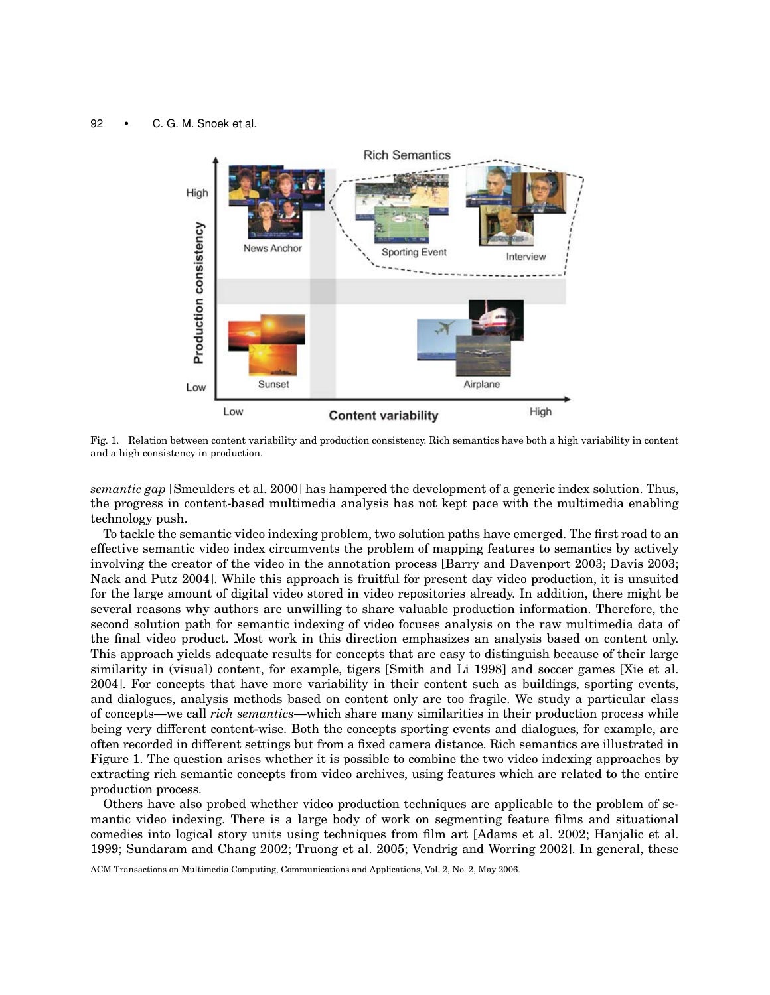

Fig. 1. Relation between content variability and production consistency. Rich semantics have both a high variability in content and a high consistency in production.

*semantic gap* [Smeulders et al. 2000] has hampered the development of a generic index solution. Thus, the progress in content-based multimedia analysis has not kept pace with the multimedia enabling technology push.

To tackle the semantic video indexing problem, two solution paths have emerged. The first road to an effective semantic video index circumvents the problem of mapping features to semantics by actively involving the creator of the video in the annotation process [Barry and Davenport 2003; Davis 2003; Nack and Putz 2004]. While this approach is fruitful for present day video production, it is unsuited for the large amount of digital video stored in video repositories already. In addition, there might be several reasons why authors are unwilling to share valuable production information. Therefore, the second solution path for semantic indexing of video focuses analysis on the raw multimedia data of the final video product. Most work in this direction emphasizes an analysis based on content only. This approach yields adequate results for concepts that are easy to distinguish because of their large similarity in (visual) content, for example, tigers [Smith and Li 1998] and soccer games [Xie et al. 2004]. For concepts that have more variability in their content such as buildings, sporting events, and dialogues, analysis methods based on content only are too fragile. We study a particular class of concepts—we call *rich semantics*—which share many similarities in their production process while being very different content-wise. Both the concepts sporting events and dialogues, for example, are often recorded in different settings but from a fixed camera distance. Rich semantics are illustrated in Figure 1. The question arises whether it is possible to combine the two video indexing approaches by extracting rich semantic concepts from video archives, using features which are related to the entire production process.

Others have also probed whether video production techniques are applicable to the problem of semantic video indexing. There is a large body of work on segmenting feature films and situational comedies into logical story units using techniques from film art [Adams et al. 2002; Hanjalic et al. 1999; Sundaram and Chang 2002; Truong et al. 2005; Vendrig and Worring 2002]. In general, these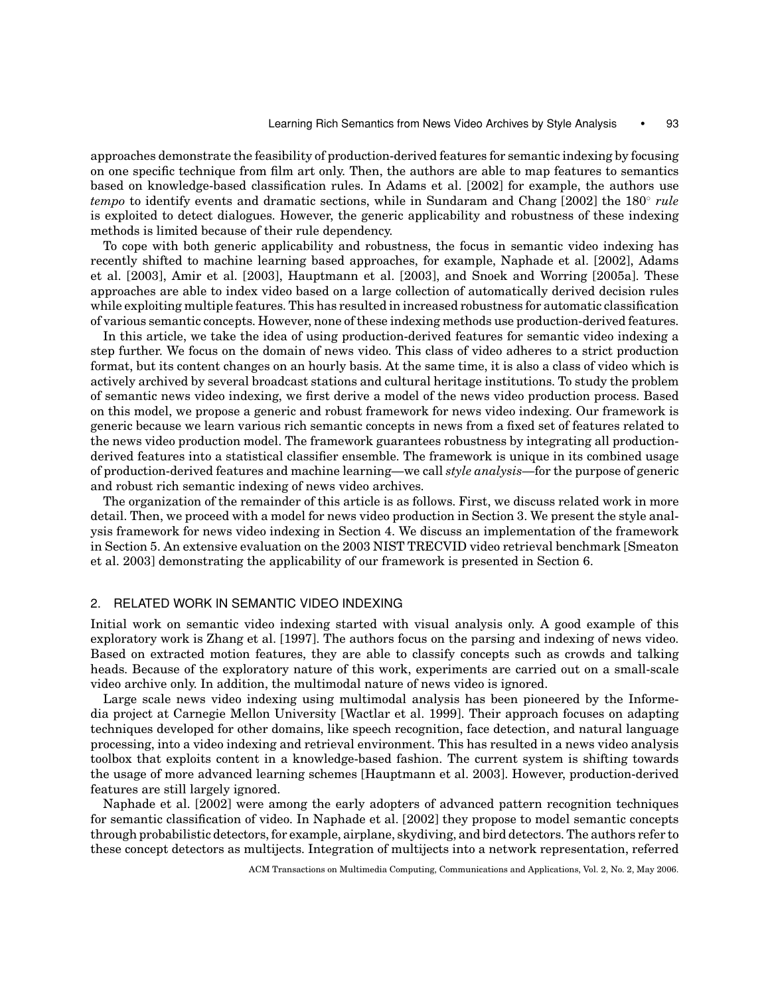approaches demonstrate the feasibility of production-derived features for semantic indexing by focusing on one specific technique from film art only. Then, the authors are able to map features to semantics based on knowledge-based classification rules. In Adams et al. [2002] for example, the authors use *tempo* to identify events and dramatic sections, while in Sundaram and Chang [2002] the 180◦ *rule* is exploited to detect dialogues. However, the generic applicability and robustness of these indexing methods is limited because of their rule dependency.

To cope with both generic applicability and robustness, the focus in semantic video indexing has recently shifted to machine learning based approaches, for example, Naphade et al. [2002], Adams et al. [2003], Amir et al. [2003], Hauptmann et al. [2003], and Snoek and Worring [2005a]. These approaches are able to index video based on a large collection of automatically derived decision rules while exploiting multiple features. This has resulted in increased robustness for automatic classification of various semantic concepts. However, none of these indexing methods use production-derived features.

In this article, we take the idea of using production-derived features for semantic video indexing a step further. We focus on the domain of news video. This class of video adheres to a strict production format, but its content changes on an hourly basis. At the same time, it is also a class of video which is actively archived by several broadcast stations and cultural heritage institutions. To study the problem of semantic news video indexing, we first derive a model of the news video production process. Based on this model, we propose a generic and robust framework for news video indexing. Our framework is generic because we learn various rich semantic concepts in news from a fixed set of features related to the news video production model. The framework guarantees robustness by integrating all productionderived features into a statistical classifier ensemble. The framework is unique in its combined usage of production-derived features and machine learning—we call *style analysis*—for the purpose of generic and robust rich semantic indexing of news video archives.

The organization of the remainder of this article is as follows. First, we discuss related work in more detail. Then, we proceed with a model for news video production in Section 3. We present the style analysis framework for news video indexing in Section 4. We discuss an implementation of the framework in Section 5. An extensive evaluation on the 2003 NIST TRECVID video retrieval benchmark [Smeaton et al. 2003] demonstrating the applicability of our framework is presented in Section 6.

## 2. RELATED WORK IN SEMANTIC VIDEO INDEXING

Initial work on semantic video indexing started with visual analysis only. A good example of this exploratory work is Zhang et al. [1997]. The authors focus on the parsing and indexing of news video. Based on extracted motion features, they are able to classify concepts such as crowds and talking heads. Because of the exploratory nature of this work, experiments are carried out on a small-scale video archive only. In addition, the multimodal nature of news video is ignored.

Large scale news video indexing using multimodal analysis has been pioneered by the Informedia project at Carnegie Mellon University [Wactlar et al. 1999]. Their approach focuses on adapting techniques developed for other domains, like speech recognition, face detection, and natural language processing, into a video indexing and retrieval environment. This has resulted in a news video analysis toolbox that exploits content in a knowledge-based fashion. The current system is shifting towards the usage of more advanced learning schemes [Hauptmann et al. 2003]. However, production-derived features are still largely ignored.

Naphade et al. [2002] were among the early adopters of advanced pattern recognition techniques for semantic classification of video. In Naphade et al. [2002] they propose to model semantic concepts through probabilistic detectors, for example, airplane, skydiving, and bird detectors. The authors refer to these concept detectors as multijects. Integration of multijects into a network representation, referred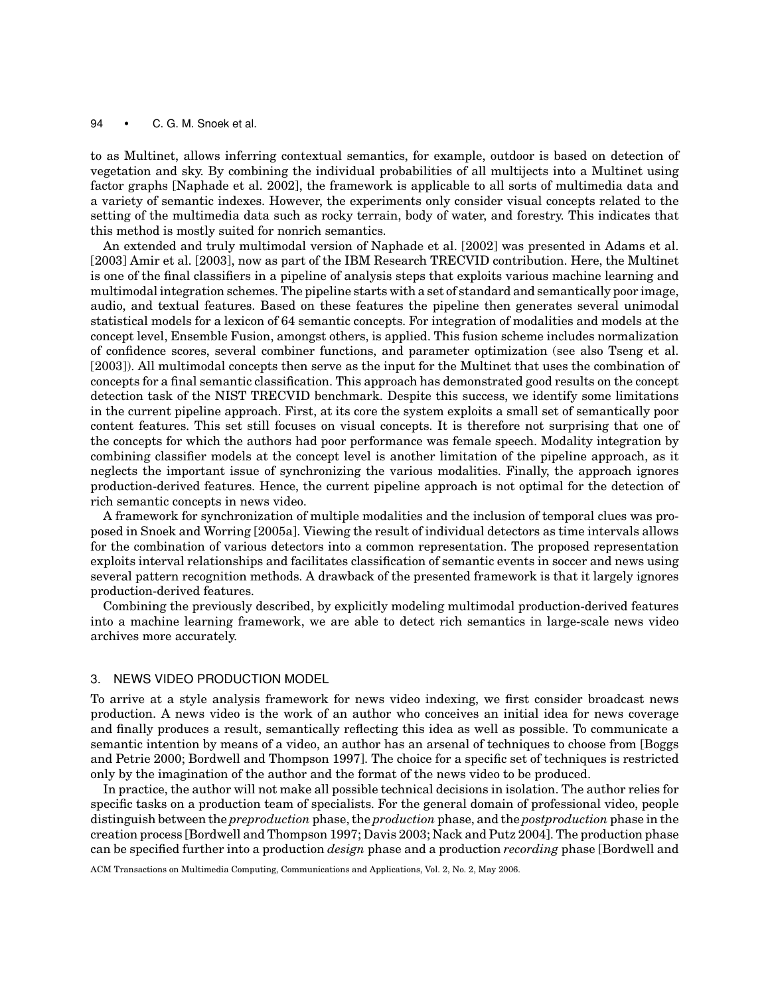to as Multinet, allows inferring contextual semantics, for example, outdoor is based on detection of vegetation and sky. By combining the individual probabilities of all multijects into a Multinet using factor graphs [Naphade et al. 2002], the framework is applicable to all sorts of multimedia data and a variety of semantic indexes. However, the experiments only consider visual concepts related to the setting of the multimedia data such as rocky terrain, body of water, and forestry. This indicates that this method is mostly suited for nonrich semantics.

An extended and truly multimodal version of Naphade et al. [2002] was presented in Adams et al. [2003] Amir et al. [2003], now as part of the IBM Research TRECVID contribution. Here, the Multinet is one of the final classifiers in a pipeline of analysis steps that exploits various machine learning and multimodal integration schemes. The pipeline starts with a set of standard and semantically poor image, audio, and textual features. Based on these features the pipeline then generates several unimodal statistical models for a lexicon of 64 semantic concepts. For integration of modalities and models at the concept level, Ensemble Fusion, amongst others, is applied. This fusion scheme includes normalization of confidence scores, several combiner functions, and parameter optimization (see also Tseng et al. [2003]). All multimodal concepts then serve as the input for the Multinet that uses the combination of concepts for a final semantic classification. This approach has demonstrated good results on the concept detection task of the NIST TRECVID benchmark. Despite this success, we identify some limitations in the current pipeline approach. First, at its core the system exploits a small set of semantically poor content features. This set still focuses on visual concepts. It is therefore not surprising that one of the concepts for which the authors had poor performance was female speech. Modality integration by combining classifier models at the concept level is another limitation of the pipeline approach, as it neglects the important issue of synchronizing the various modalities. Finally, the approach ignores production-derived features. Hence, the current pipeline approach is not optimal for the detection of rich semantic concepts in news video.

A framework for synchronization of multiple modalities and the inclusion of temporal clues was proposed in Snoek and Worring [2005a]. Viewing the result of individual detectors as time intervals allows for the combination of various detectors into a common representation. The proposed representation exploits interval relationships and facilitates classification of semantic events in soccer and news using several pattern recognition methods. A drawback of the presented framework is that it largely ignores production-derived features.

Combining the previously described, by explicitly modeling multimodal production-derived features into a machine learning framework, we are able to detect rich semantics in large-scale news video archives more accurately.

#### 3. NEWS VIDEO PRODUCTION MODEL

To arrive at a style analysis framework for news video indexing, we first consider broadcast news production. A news video is the work of an author who conceives an initial idea for news coverage and finally produces a result, semantically reflecting this idea as well as possible. To communicate a semantic intention by means of a video, an author has an arsenal of techniques to choose from [Boggs and Petrie 2000; Bordwell and Thompson 1997]. The choice for a specific set of techniques is restricted only by the imagination of the author and the format of the news video to be produced.

In practice, the author will not make all possible technical decisions in isolation. The author relies for specific tasks on a production team of specialists. For the general domain of professional video, people distinguish between the *preproduction* phase, the *production* phase, and the *postproduction* phase in the creation process [Bordwell and Thompson 1997; Davis 2003; Nack and Putz 2004]. The production phase can be specified further into a production *design* phase and a production *recording* phase [Bordwell and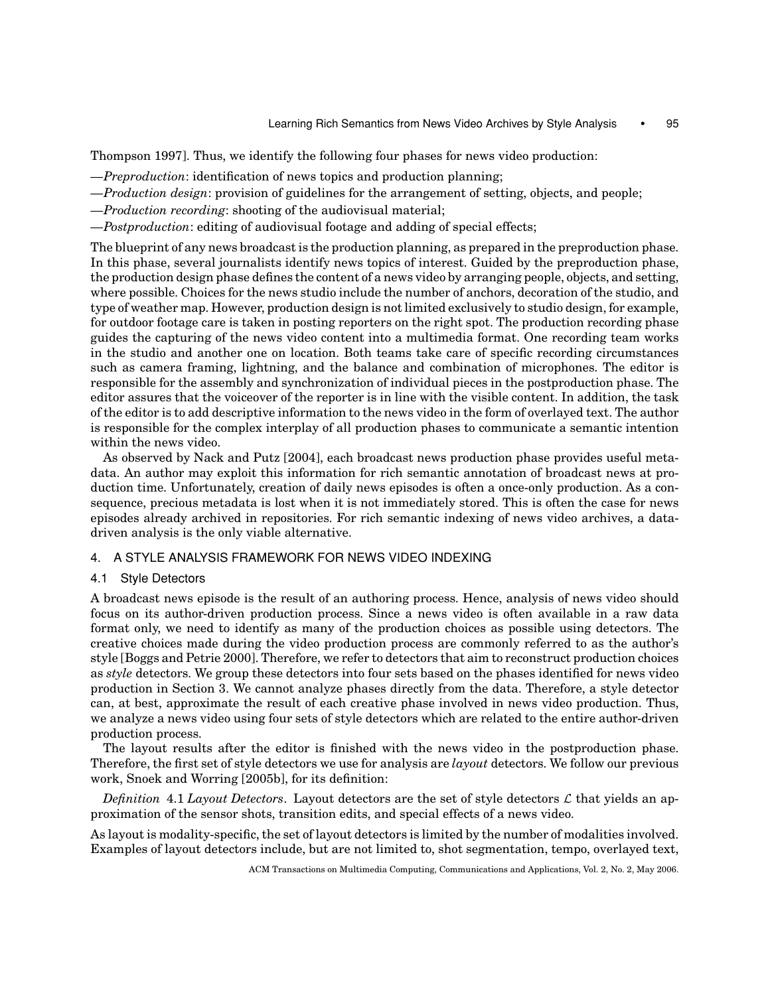Thompson 1997]. Thus, we identify the following four phases for news video production:

—*Preproduction*: identification of news topics and production planning;

- —*Production design*: provision of guidelines for the arrangement of setting, objects, and people;
- —*Production recording*: shooting of the audiovisual material;

—*Postproduction*: editing of audiovisual footage and adding of special effects;

The blueprint of any news broadcast is the production planning, as prepared in the preproduction phase. In this phase, several journalists identify news topics of interest. Guided by the preproduction phase, the production design phase defines the content of a news video by arranging people, objects, and setting, where possible. Choices for the news studio include the number of anchors, decoration of the studio, and type of weather map. However, production design is not limited exclusively to studio design, for example, for outdoor footage care is taken in posting reporters on the right spot. The production recording phase guides the capturing of the news video content into a multimedia format. One recording team works in the studio and another one on location. Both teams take care of specific recording circumstances such as camera framing, lightning, and the balance and combination of microphones. The editor is responsible for the assembly and synchronization of individual pieces in the postproduction phase. The editor assures that the voiceover of the reporter is in line with the visible content. In addition, the task of the editor is to add descriptive information to the news video in the form of overlayed text. The author is responsible for the complex interplay of all production phases to communicate a semantic intention within the news video.

As observed by Nack and Putz [2004], each broadcast news production phase provides useful metadata. An author may exploit this information for rich semantic annotation of broadcast news at production time. Unfortunately, creation of daily news episodes is often a once-only production. As a consequence, precious metadata is lost when it is not immediately stored. This is often the case for news episodes already archived in repositories. For rich semantic indexing of news video archives, a datadriven analysis is the only viable alternative.

#### 4. A STYLE ANALYSIS FRAMEWORK FOR NEWS VIDEO INDEXING

#### 4.1 Style Detectors

A broadcast news episode is the result of an authoring process. Hence, analysis of news video should focus on its author-driven production process. Since a news video is often available in a raw data format only, we need to identify as many of the production choices as possible using detectors. The creative choices made during the video production process are commonly referred to as the author's style [Boggs and Petrie 2000]. Therefore, we refer to detectors that aim to reconstruct production choices as *style* detectors. We group these detectors into four sets based on the phases identified for news video production in Section 3. We cannot analyze phases directly from the data. Therefore, a style detector can, at best, approximate the result of each creative phase involved in news video production. Thus, we analyze a news video using four sets of style detectors which are related to the entire author-driven production process.

The layout results after the editor is finished with the news video in the postproduction phase. Therefore, the first set of style detectors we use for analysis are *layout* detectors. We follow our previous work, Snoek and Worring [2005b], for its definition:

*Definition* 4.1 *Layout Detectors*. Layout detectors are the set of style detectors  $\mathcal{L}$  that yields an approximation of the sensor shots, transition edits, and special effects of a news video.

As layout is modality-specific, the set of layout detectors is limited by the number of modalities involved. Examples of layout detectors include, but are not limited to, shot segmentation, tempo, overlayed text,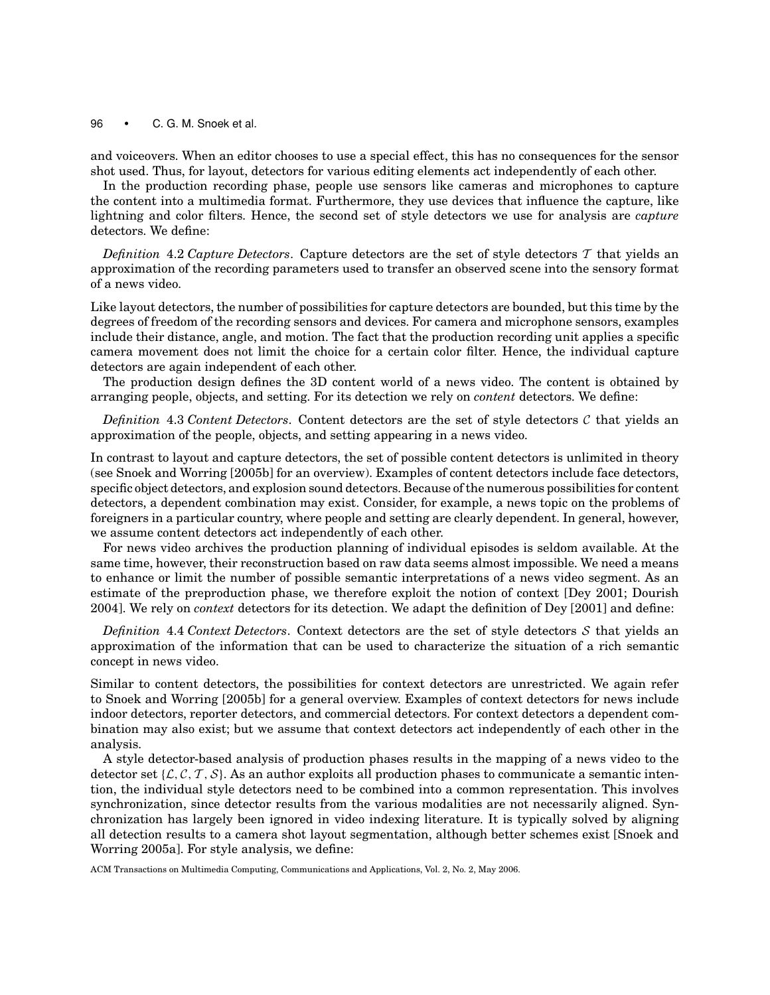and voiceovers. When an editor chooses to use a special effect, this has no consequences for the sensor shot used. Thus, for layout, detectors for various editing elements act independently of each other.

In the production recording phase, people use sensors like cameras and microphones to capture the content into a multimedia format. Furthermore, they use devices that influence the capture, like lightning and color filters. Hence, the second set of style detectors we use for analysis are *capture* detectors. We define:

*Definition* 4.2 *Capture Detectors*. Capture detectors are the set of style detectors T that yields an approximation of the recording parameters used to transfer an observed scene into the sensory format of a news video.

Like layout detectors, the number of possibilities for capture detectors are bounded, but this time by the degrees of freedom of the recording sensors and devices. For camera and microphone sensors, examples include their distance, angle, and motion. The fact that the production recording unit applies a specific camera movement does not limit the choice for a certain color filter. Hence, the individual capture detectors are again independent of each other.

The production design defines the 3D content world of a news video. The content is obtained by arranging people, objects, and setting. For its detection we rely on *content* detectors. We define:

*Definition* 4.3 *Content Detectors*. Content detectors are the set of style detectors C that yields an approximation of the people, objects, and setting appearing in a news video.

In contrast to layout and capture detectors, the set of possible content detectors is unlimited in theory (see Snoek and Worring [2005b] for an overview). Examples of content detectors include face detectors, specific object detectors, and explosion sound detectors. Because of the numerous possibilities for content detectors, a dependent combination may exist. Consider, for example, a news topic on the problems of foreigners in a particular country, where people and setting are clearly dependent. In general, however, we assume content detectors act independently of each other.

For news video archives the production planning of individual episodes is seldom available. At the same time, however, their reconstruction based on raw data seems almost impossible. We need a means to enhance or limit the number of possible semantic interpretations of a news video segment. As an estimate of the preproduction phase, we therefore exploit the notion of context [Dey 2001; Dourish 2004]. We rely on *context* detectors for its detection. We adapt the definition of Dey [2001] and define:

*Definition* 4.4 *Context Detectors*. Context detectors are the set of style detectors S that yields an approximation of the information that can be used to characterize the situation of a rich semantic concept in news video.

Similar to content detectors, the possibilities for context detectors are unrestricted. We again refer to Snoek and Worring [2005b] for a general overview. Examples of context detectors for news include indoor detectors, reporter detectors, and commercial detectors. For context detectors a dependent combination may also exist; but we assume that context detectors act independently of each other in the analysis.

A style detector-based analysis of production phases results in the mapping of a news video to the detector set  $\{\mathcal{L}, \mathcal{C}, \mathcal{T}, \mathcal{S}\}$ . As an author exploits all production phases to communicate a semantic intention, the individual style detectors need to be combined into a common representation. This involves synchronization, since detector results from the various modalities are not necessarily aligned. Synchronization has largely been ignored in video indexing literature. It is typically solved by aligning all detection results to a camera shot layout segmentation, although better schemes exist [Snoek and Worring 2005a]. For style analysis, we define: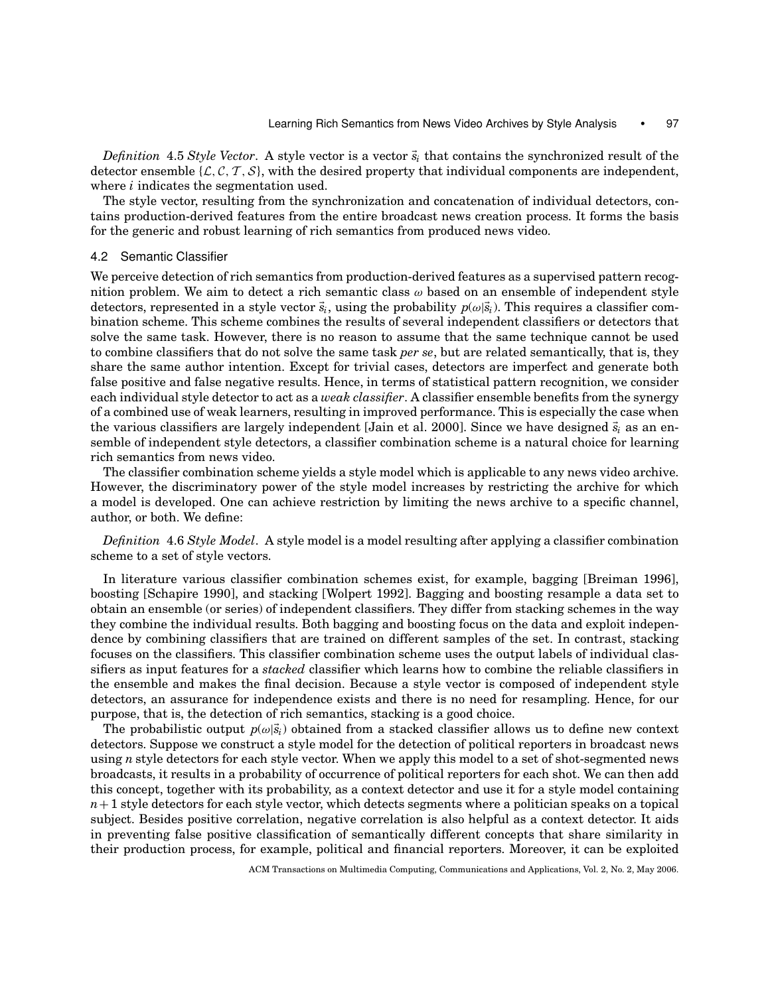*Definition* 4.5 *Style Vector*. A style vector is a vector *si* that contains the synchronized result of the detector ensemble  $\{\mathcal{L}, \mathcal{C}, \mathcal{T}, \mathcal{S}\}\$ , with the desired property that individual components are independent, where *i* indicates the segmentation used.

The style vector, resulting from the synchronization and concatenation of individual detectors, contains production-derived features from the entire broadcast news creation process. It forms the basis for the generic and robust learning of rich semantics from produced news video.

## 4.2 Semantic Classifier

We perceive detection of rich semantics from production-derived features as a supervised pattern recognition problem. We aim to detect a rich semantic class  $\omega$  based on an ensemble of independent style detectors, represented in a style vector  $\vec{s}_i$ , using the probability  $p(\omega|\vec{s}_i)$ . This requires a classifier combination scheme. This scheme combines the results of several independent classifiers or detectors that solve the same task. However, there is no reason to assume that the same technique cannot be used to combine classifiers that do not solve the same task *per se*, but are related semantically, that is, they share the same author intention. Except for trivial cases, detectors are imperfect and generate both false positive and false negative results. Hence, in terms of statistical pattern recognition, we consider each individual style detector to act as a *weak classifier*. A classifier ensemble benefits from the synergy of a combined use of weak learners, resulting in improved performance. This is especially the case when the various classifiers are largely independent [Jain et al. 2000]. Since we have designed  $\vec{s}_i$  as an ensemble of independent style detectors, a classifier combination scheme is a natural choice for learning rich semantics from news video.

The classifier combination scheme yields a style model which is applicable to any news video archive. However, the discriminatory power of the style model increases by restricting the archive for which a model is developed. One can achieve restriction by limiting the news archive to a specific channel, author, or both. We define:

*Definition* 4.6 *Style Model*. A style model is a model resulting after applying a classifier combination scheme to a set of style vectors.

In literature various classifier combination schemes exist, for example, bagging [Breiman 1996], boosting [Schapire 1990], and stacking [Wolpert 1992]. Bagging and boosting resample a data set to obtain an ensemble (or series) of independent classifiers. They differ from stacking schemes in the way they combine the individual results. Both bagging and boosting focus on the data and exploit independence by combining classifiers that are trained on different samples of the set. In contrast, stacking focuses on the classifiers. This classifier combination scheme uses the output labels of individual classifiers as input features for a *stacked* classifier which learns how to combine the reliable classifiers in the ensemble and makes the final decision. Because a style vector is composed of independent style detectors, an assurance for independence exists and there is no need for resampling. Hence, for our purpose, that is, the detection of rich semantics, stacking is a good choice.

The probabilistic output  $p(\omega|\vec{s})$  obtained from a stacked classifier allows us to define new context detectors. Suppose we construct a style model for the detection of political reporters in broadcast news using *n* style detectors for each style vector. When we apply this model to a set of shot-segmented news broadcasts, it results in a probability of occurrence of political reporters for each shot. We can then add this concept, together with its probability, as a context detector and use it for a style model containing  $n+1$  style detectors for each style vector, which detects segments where a politician speaks on a topical subject. Besides positive correlation, negative correlation is also helpful as a context detector. It aids in preventing false positive classification of semantically different concepts that share similarity in their production process, for example, political and financial reporters. Moreover, it can be exploited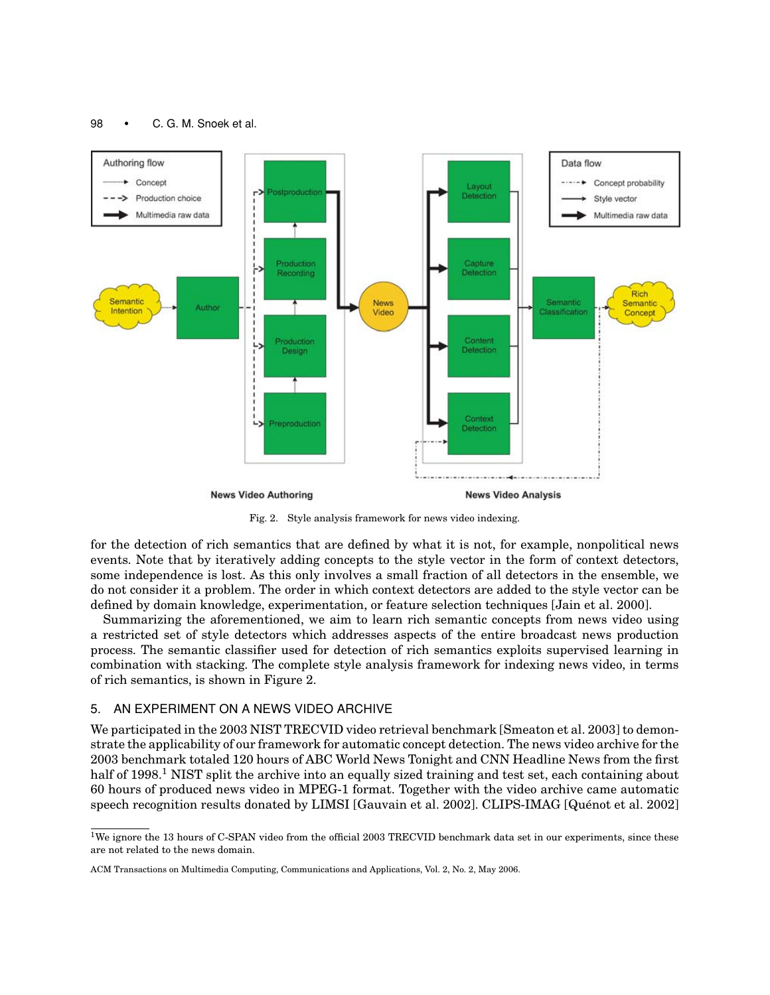

Fig. 2. Style analysis framework for news video indexing.

for the detection of rich semantics that are defined by what it is not, for example, nonpolitical news events. Note that by iteratively adding concepts to the style vector in the form of context detectors, some independence is lost. As this only involves a small fraction of all detectors in the ensemble, we do not consider it a problem. The order in which context detectors are added to the style vector can be defined by domain knowledge, experimentation, or feature selection techniques [Jain et al. 2000].

Summarizing the aforementioned, we aim to learn rich semantic concepts from news video using a restricted set of style detectors which addresses aspects of the entire broadcast news production process. The semantic classifier used for detection of rich semantics exploits supervised learning in combination with stacking. The complete style analysis framework for indexing news video, in terms of rich semantics, is shown in Figure 2.

#### 5. AN EXPERIMENT ON A NEWS VIDEO ARCHIVE

We participated in the 2003 NIST TRECVID video retrieval benchmark [Smeaton et al. 2003] to demonstrate the applicability of our framework for automatic concept detection. The news video archive for the 2003 benchmark totaled 120 hours of ABC World News Tonight and CNN Headline News from the first half of 1998.<sup>1</sup> NIST split the archive into an equally sized training and test set, each containing about 60 hours of produced news video in MPEG-1 format. Together with the video archive came automatic speech recognition results donated by LIMSI [Gauvain et al. 2002]. CLIPS-IMAG [Quénot et al. 2002]

<sup>&</sup>lt;sup>1</sup>We ignore the 13 hours of C-SPAN video from the official 2003 TRECVID benchmark data set in our experiments, since these are not related to the news domain.

ACM Transactions on Multimedia Computing, Communications and Applications, Vol. 2, No. 2, May 2006.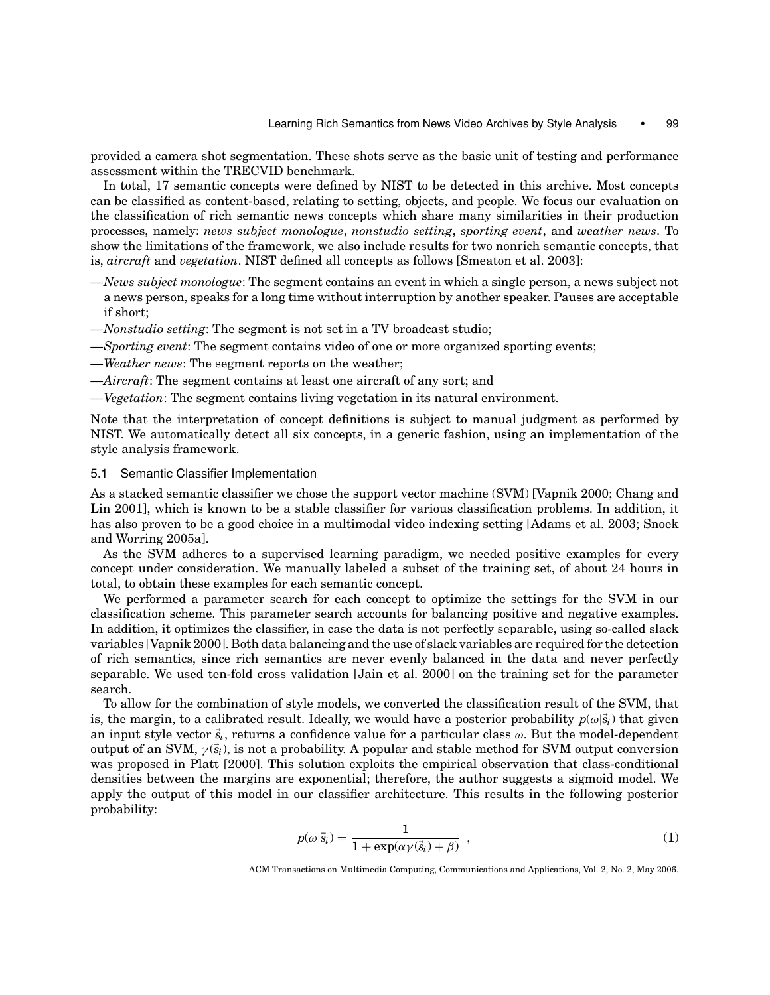provided a camera shot segmentation. These shots serve as the basic unit of testing and performance assessment within the TRECVID benchmark.

In total, 17 semantic concepts were defined by NIST to be detected in this archive. Most concepts can be classified as content-based, relating to setting, objects, and people. We focus our evaluation on the classification of rich semantic news concepts which share many similarities in their production processes, namely: *news subject monologue*, *nonstudio setting*, *sporting event*, and *weather news*. To show the limitations of the framework, we also include results for two nonrich semantic concepts, that is, *aircraft* and *vegetation*. NIST defined all concepts as follows [Smeaton et al. 2003]:

- —*News subject monologue*: The segment contains an event in which a single person, a news subject not a news person, speaks for a long time without interruption by another speaker. Pauses are acceptable if short;
- —*Nonstudio setting*: The segment is not set in a TV broadcast studio;
- —*Sporting event*: The segment contains video of one or more organized sporting events;
- —*Weather news*: The segment reports on the weather;
- —*Aircraft*: The segment contains at least one aircraft of any sort; and
- —*Vegetation*: The segment contains living vegetation in its natural environment.

Note that the interpretation of concept definitions is subject to manual judgment as performed by NIST. We automatically detect all six concepts, in a generic fashion, using an implementation of the style analysis framework.

#### 5.1 Semantic Classifier Implementation

As a stacked semantic classifier we chose the support vector machine (SVM) [Vapnik 2000; Chang and Lin 2001], which is known to be a stable classifier for various classification problems. In addition, it has also proven to be a good choice in a multimodal video indexing setting [Adams et al. 2003; Snoek and Worring 2005a].

As the SVM adheres to a supervised learning paradigm, we needed positive examples for every concept under consideration. We manually labeled a subset of the training set, of about 24 hours in total, to obtain these examples for each semantic concept.

We performed a parameter search for each concept to optimize the settings for the SVM in our classification scheme. This parameter search accounts for balancing positive and negative examples. In addition, it optimizes the classifier, in case the data is not perfectly separable, using so-called slack variables [Vapnik 2000]. Both data balancing and the use of slack variables are required for the detection of rich semantics, since rich semantics are never evenly balanced in the data and never perfectly separable. We used ten-fold cross validation [Jain et al. 2000] on the training set for the parameter search.

To allow for the combination of style models, we converted the classification result of the SVM, that is, the margin, to a calibrated result. Ideally, we would have a posterior probability  $p(\omega|\vec{s_i})$  that given an input style vector  $\vec{s}_i$ , returns a confidence value for a particular class  $\omega$ . But the model-dependent output of an SVM, γ (*si*), is not a probability. A popular and stable method for SVM output conversion was proposed in Platt [2000]. This solution exploits the empirical observation that class-conditional densities between the margins are exponential; therefore, the author suggests a sigmoid model. We apply the output of this model in our classifier architecture. This results in the following posterior probability:

$$
p(\omega|\vec{s}_i) = \frac{1}{1 + \exp(\alpha \gamma(\vec{s}_i) + \beta)} \tag{1}
$$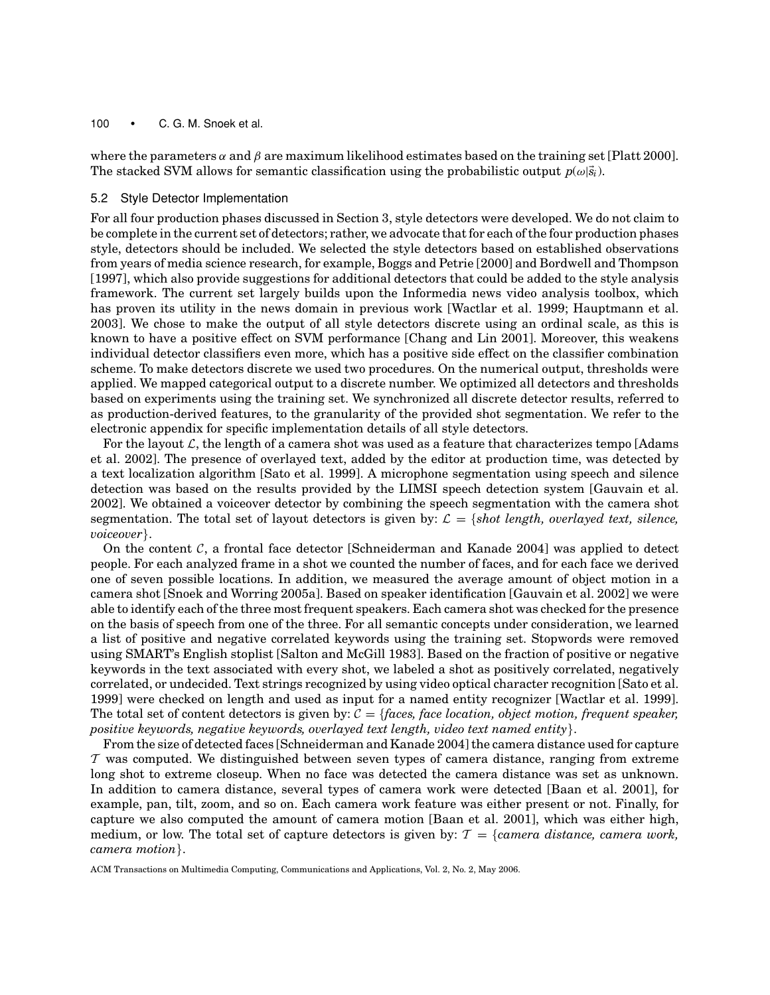where the parameters  $\alpha$  and  $\beta$  are maximum likelihood estimates based on the training set [Platt 2000]. The stacked SVM allows for semantic classification using the probabilistic output  $p(\omega|\vec{s}_i)$ .

#### 5.2 Style Detector Implementation

For all four production phases discussed in Section 3, style detectors were developed. We do not claim to be complete in the current set of detectors; rather, we advocate that for each of the four production phases style, detectors should be included. We selected the style detectors based on established observations from years of media science research, for example, Boggs and Petrie [2000] and Bordwell and Thompson [1997], which also provide suggestions for additional detectors that could be added to the style analysis framework. The current set largely builds upon the Informedia news video analysis toolbox, which has proven its utility in the news domain in previous work [Wactlar et al. 1999; Hauptmann et al. 2003]. We chose to make the output of all style detectors discrete using an ordinal scale, as this is known to have a positive effect on SVM performance [Chang and Lin 2001]. Moreover, this weakens individual detector classifiers even more, which has a positive side effect on the classifier combination scheme. To make detectors discrete we used two procedures. On the numerical output, thresholds were applied. We mapped categorical output to a discrete number. We optimized all detectors and thresholds based on experiments using the training set. We synchronized all discrete detector results, referred to as production-derived features, to the granularity of the provided shot segmentation. We refer to the electronic appendix for specific implementation details of all style detectors.

For the layout  $\mathcal{L}$ , the length of a camera shot was used as a feature that characterizes tempo [Adams] et al. 2002]. The presence of overlayed text, added by the editor at production time, was detected by a text localization algorithm [Sato et al. 1999]. A microphone segmentation using speech and silence detection was based on the results provided by the LIMSI speech detection system [Gauvain et al. 2002]. We obtained a voiceover detector by combining the speech segmentation with the camera shot segmentation. The total set of layout detectors is given by:  $\mathcal{L} = \{shot \ length, \ overlap{over} \ event{order} \}$ *voiceover*}.

On the content  $\mathcal{C}$ , a frontal face detector [Schneiderman and Kanade 2004] was applied to detect people. For each analyzed frame in a shot we counted the number of faces, and for each face we derived one of seven possible locations. In addition, we measured the average amount of object motion in a camera shot [Snoek and Worring 2005a]. Based on speaker identification [Gauvain et al. 2002] we were able to identify each of the three most frequent speakers. Each camera shot was checked for the presence on the basis of speech from one of the three. For all semantic concepts under consideration, we learned a list of positive and negative correlated keywords using the training set. Stopwords were removed using SMART's English stoplist [Salton and McGill 1983]. Based on the fraction of positive or negative keywords in the text associated with every shot, we labeled a shot as positively correlated, negatively correlated, or undecided. Text strings recognized by using video optical character recognition [Sato et al. 1999] were checked on length and used as input for a named entity recognizer [Wactlar et al. 1999]. The total set of content detectors is given by: C = {*faces, face location, object motion, frequent speaker, positive keywords, negative keywords, overlayed text length, video text named entity*}.

From the size of detected faces [Schneiderman and Kanade 2004] the camera distance used for capture  $\tau$  was computed. We distinguished between seven types of camera distance, ranging from extreme long shot to extreme closeup. When no face was detected the camera distance was set as unknown. In addition to camera distance, several types of camera work were detected [Baan et al. 2001], for example, pan, tilt, zoom, and so on. Each camera work feature was either present or not. Finally, for capture we also computed the amount of camera motion [Baan et al. 2001], which was either high, medium, or low. The total set of capture detectors is given by:  $\mathcal{T} = \{ \text{corner a distance}, \text{ camera work}, \}$ *camera motion*}.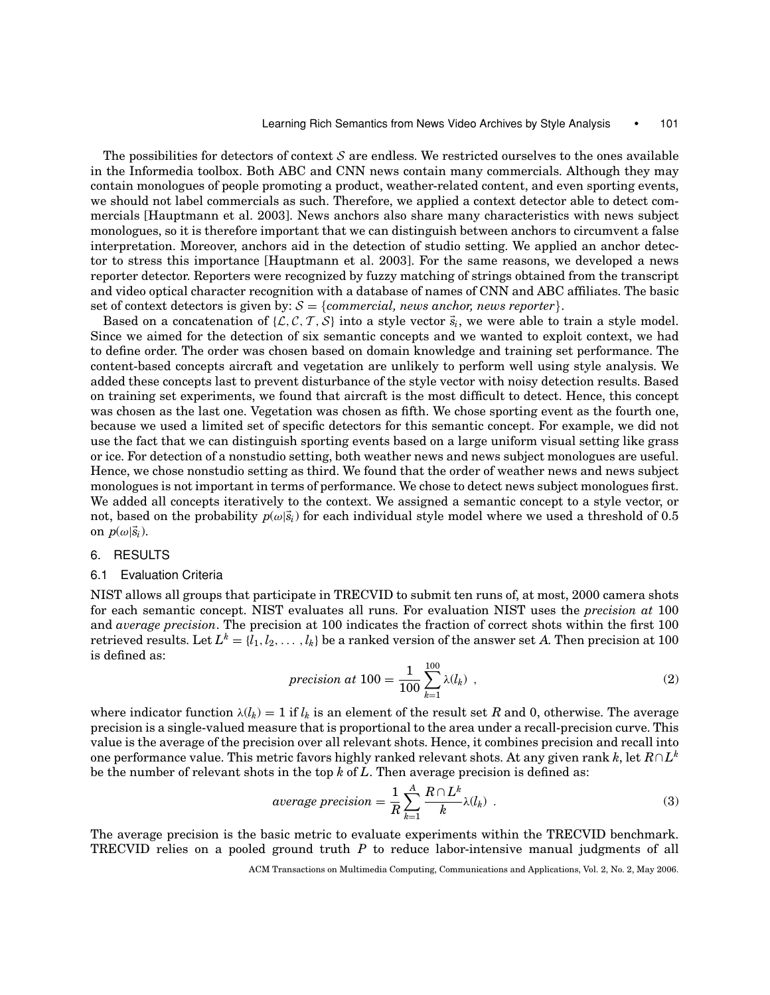The possibilities for detectors of context  $\mathcal S$  are endless. We restricted ourselves to the ones available in the Informedia toolbox. Both ABC and CNN news contain many commercials. Although they may contain monologues of people promoting a product, weather-related content, and even sporting events, we should not label commercials as such. Therefore, we applied a context detector able to detect commercials [Hauptmann et al. 2003]. News anchors also share many characteristics with news subject monologues, so it is therefore important that we can distinguish between anchors to circumvent a false interpretation. Moreover, anchors aid in the detection of studio setting. We applied an anchor detector to stress this importance [Hauptmann et al. 2003]. For the same reasons, we developed a news reporter detector. Reporters were recognized by fuzzy matching of strings obtained from the transcript and video optical character recognition with a database of names of CNN and ABC affiliates. The basic set of context detectors is given by:  $S = \{commercial, news anchor, news reporter\}.$ 

Based on a concatenation of  $\{\mathcal{L}, \mathcal{C}, \mathcal{T}, \mathcal{S}\}$  into a style vector  $\vec{s}_i$ , we were able to train a style model. Since we aimed for the detection of six semantic concepts and we wanted to exploit context, we had to define order. The order was chosen based on domain knowledge and training set performance. The content-based concepts aircraft and vegetation are unlikely to perform well using style analysis. We added these concepts last to prevent disturbance of the style vector with noisy detection results. Based on training set experiments, we found that aircraft is the most difficult to detect. Hence, this concept was chosen as the last one. Vegetation was chosen as fifth. We chose sporting event as the fourth one, because we used a limited set of specific detectors for this semantic concept. For example, we did not use the fact that we can distinguish sporting events based on a large uniform visual setting like grass or ice. For detection of a nonstudio setting, both weather news and news subject monologues are useful. Hence, we chose nonstudio setting as third. We found that the order of weather news and news subject monologues is not important in terms of performance. We chose to detect news subject monologues first. We added all concepts iteratively to the context. We assigned a semantic concept to a style vector, or not, based on the probability  $p(\omega|\vec{s_i})$  for each individual style model where we used a threshold of 0.5 on  $p(\omega|\vec{s}_i)$ .

#### 6. RESULTS

#### 6.1 Evaluation Criteria

NIST allows all groups that participate in TRECVID to submit ten runs of, at most, 2000 camera shots for each semantic concept. NIST evaluates all runs. For evaluation NIST uses the *precision at* 100 and *average precision*. The precision at 100 indicates the fraction of correct shots within the first 100 retrieved results. Let  $L^k = \{l_1, l_2, \ldots, l_k\}$  be a ranked version of the answer set *A*. Then precision at 100 is defined as:

$$
precision \ at \ 100 = \frac{1}{100} \sum_{k=1}^{100} \lambda(l_k) \ , \tag{2}
$$

where indicator function  $\lambda(l_k) = 1$  if  $l_k$  is an element of the result set R and 0, otherwise. The average precision is a single-valued measure that is proportional to the area under a recall-precision curve. This value is the average of the precision over all relevant shots. Hence, it combines precision and recall into one performance value. This metric favors highly ranked relevant shots. At any given rank *k*, let *R*∩*L<sup>k</sup>* be the number of relevant shots in the top *k* of *L*. Then average precision is defined as:

$$
average\ precision = \frac{1}{R} \sum_{k=1}^{A} \frac{R \cap L^k}{k} \lambda(l_k) \tag{3}
$$

The average precision is the basic metric to evaluate experiments within the TRECVID benchmark. TRECVID relies on a pooled ground truth *P* to reduce labor-intensive manual judgments of all

ACM Transactions on Multimedia Computing, Communications and Applications, Vol. 2, No. 2, May 2006.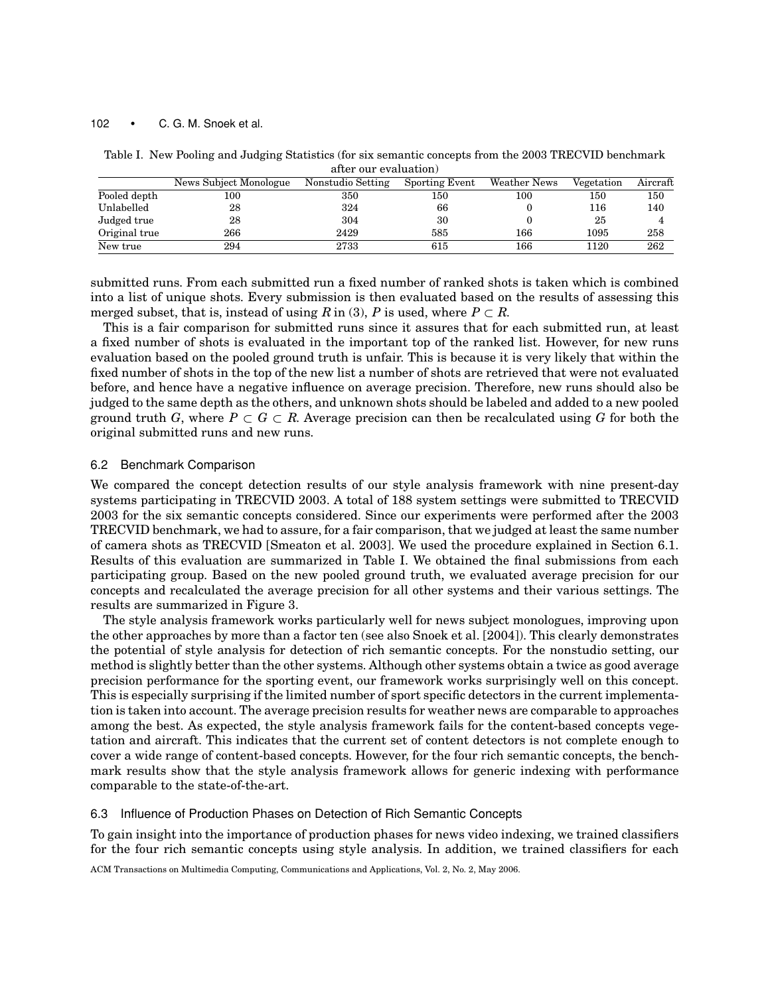| alter our evaluation) |                        |                   |                       |              |            |          |
|-----------------------|------------------------|-------------------|-----------------------|--------------|------------|----------|
|                       | News Subject Monologue | Nonstudio Setting | <b>Sporting Event</b> | Weather News | Vegetation | Aircraft |
| Pooled depth          | 100                    | 350               | $150\,$               | 100          | 150        | 150      |
| Unlabelled            | 28                     | 324               | 66                    |              | 116        | 140      |
| Judged true           | 28                     | 304               | 30                    |              | 25         |          |
| Original true         | 266                    | 2429              | 585                   | 166          | 1095       | 258      |
| New true              | 294                    | 2733              | 615                   | 166          | 1120       | 262      |

Table I. New Pooling and Judging Statistics (for six semantic concepts from the 2003 TRECVID benchmark after our evaluation)

submitted runs. From each submitted run a fixed number of ranked shots is taken which is combined into a list of unique shots. Every submission is then evaluated based on the results of assessing this merged subset, that is, instead of using  $R$  in (3),  $P$  is used, where  $P \subset R$ .

This is a fair comparison for submitted runs since it assures that for each submitted run, at least a fixed number of shots is evaluated in the important top of the ranked list. However, for new runs evaluation based on the pooled ground truth is unfair. This is because it is very likely that within the fixed number of shots in the top of the new list a number of shots are retrieved that were not evaluated before, and hence have a negative influence on average precision. Therefore, new runs should also be judged to the same depth as the others, and unknown shots should be labeled and added to a new pooled ground truth *G*, where  $P \subset G \subset R$ . Average precision can then be recalculated using *G* for both the original submitted runs and new runs.

#### 6.2 Benchmark Comparison

We compared the concept detection results of our style analysis framework with nine present-day systems participating in TRECVID 2003. A total of 188 system settings were submitted to TRECVID 2003 for the six semantic concepts considered. Since our experiments were performed after the 2003 TRECVID benchmark, we had to assure, for a fair comparison, that we judged at least the same number of camera shots as TRECVID [Smeaton et al. 2003]. We used the procedure explained in Section 6.1. Results of this evaluation are summarized in Table I. We obtained the final submissions from each participating group. Based on the new pooled ground truth, we evaluated average precision for our concepts and recalculated the average precision for all other systems and their various settings. The results are summarized in Figure 3.

The style analysis framework works particularly well for news subject monologues, improving upon the other approaches by more than a factor ten (see also Snoek et al. [2004]). This clearly demonstrates the potential of style analysis for detection of rich semantic concepts. For the nonstudio setting, our method is slightly better than the other systems. Although other systems obtain a twice as good average precision performance for the sporting event, our framework works surprisingly well on this concept. This is especially surprising if the limited number of sport specific detectors in the current implementation is taken into account. The average precision results for weather news are comparable to approaches among the best. As expected, the style analysis framework fails for the content-based concepts vegetation and aircraft. This indicates that the current set of content detectors is not complete enough to cover a wide range of content-based concepts. However, for the four rich semantic concepts, the benchmark results show that the style analysis framework allows for generic indexing with performance comparable to the state-of-the-art.

#### 6.3 Influence of Production Phases on Detection of Rich Semantic Concepts

To gain insight into the importance of production phases for news video indexing, we trained classifiers for the four rich semantic concepts using style analysis. In addition, we trained classifiers for each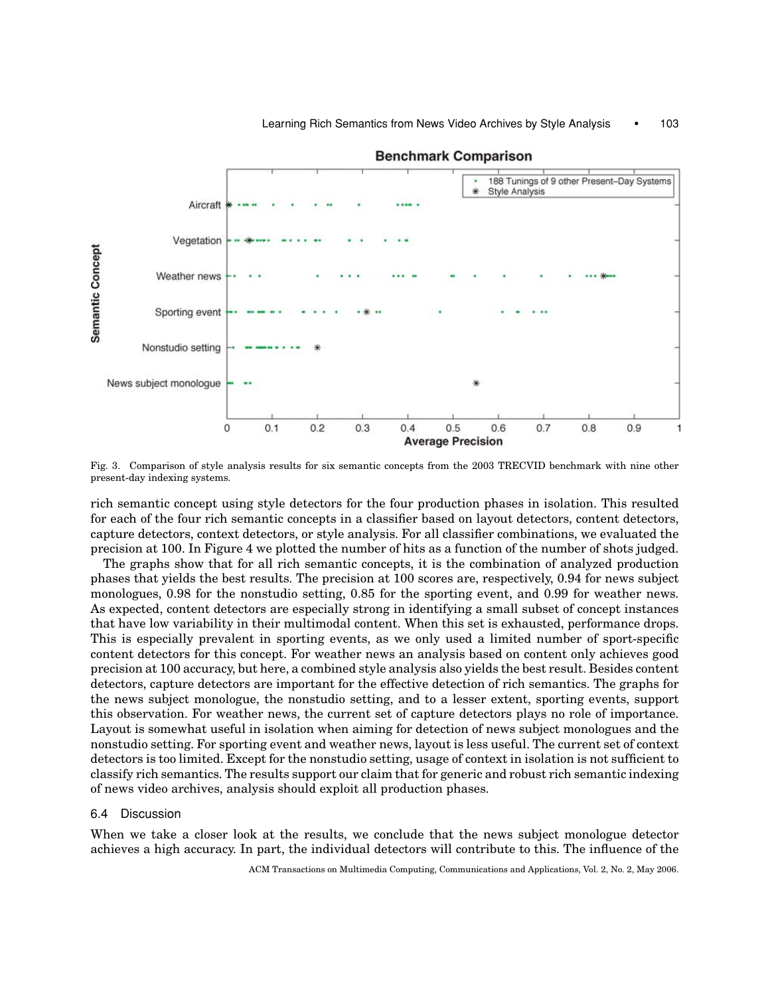

Fig. 3. Comparison of style analysis results for six semantic concepts from the 2003 TRECVID benchmark with nine other present-day indexing systems.

rich semantic concept using style detectors for the four production phases in isolation. This resulted for each of the four rich semantic concepts in a classifier based on layout detectors, content detectors, capture detectors, context detectors, or style analysis. For all classifier combinations, we evaluated the precision at 100. In Figure 4 we plotted the number of hits as a function of the number of shots judged.

The graphs show that for all rich semantic concepts, it is the combination of analyzed production phases that yields the best results. The precision at 100 scores are, respectively, 0.94 for news subject monologues, 0.98 for the nonstudio setting, 0.85 for the sporting event, and 0.99 for weather news. As expected, content detectors are especially strong in identifying a small subset of concept instances that have low variability in their multimodal content. When this set is exhausted, performance drops. This is especially prevalent in sporting events, as we only used a limited number of sport-specific content detectors for this concept. For weather news an analysis based on content only achieves good precision at 100 accuracy, but here, a combined style analysis also yields the best result. Besides content detectors, capture detectors are important for the effective detection of rich semantics. The graphs for the news subject monologue, the nonstudio setting, and to a lesser extent, sporting events, support this observation. For weather news, the current set of capture detectors plays no role of importance. Layout is somewhat useful in isolation when aiming for detection of news subject monologues and the nonstudio setting. For sporting event and weather news, layout is less useful. The current set of context detectors is too limited. Except for the nonstudio setting, usage of context in isolation is not sufficient to classify rich semantics. The results support our claim that for generic and robust rich semantic indexing of news video archives, analysis should exploit all production phases.

#### 6.4 Discussion

When we take a closer look at the results, we conclude that the news subject monologue detector achieves a high accuracy. In part, the individual detectors will contribute to this. The influence of the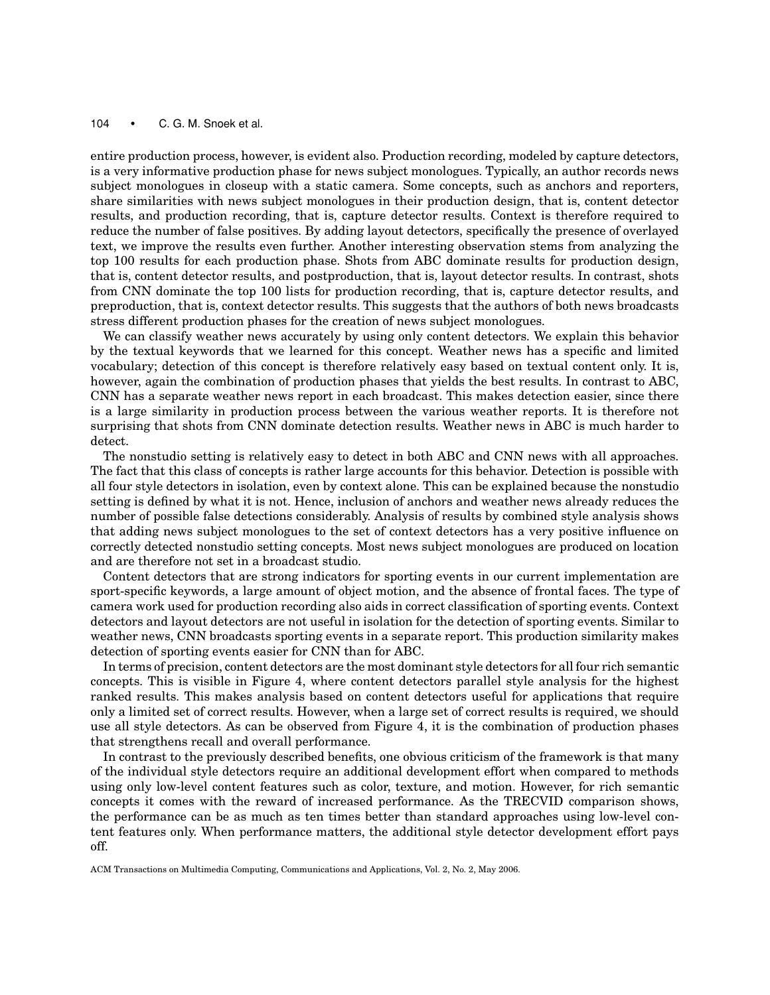entire production process, however, is evident also. Production recording, modeled by capture detectors, is a very informative production phase for news subject monologues. Typically, an author records news subject monologues in closeup with a static camera. Some concepts, such as anchors and reporters, share similarities with news subject monologues in their production design, that is, content detector results, and production recording, that is, capture detector results. Context is therefore required to reduce the number of false positives. By adding layout detectors, specifically the presence of overlayed text, we improve the results even further. Another interesting observation stems from analyzing the top 100 results for each production phase. Shots from ABC dominate results for production design, that is, content detector results, and postproduction, that is, layout detector results. In contrast, shots from CNN dominate the top 100 lists for production recording, that is, capture detector results, and preproduction, that is, context detector results. This suggests that the authors of both news broadcasts stress different production phases for the creation of news subject monologues.

We can classify weather news accurately by using only content detectors. We explain this behavior by the textual keywords that we learned for this concept. Weather news has a specific and limited vocabulary; detection of this concept is therefore relatively easy based on textual content only. It is, however, again the combination of production phases that yields the best results. In contrast to ABC, CNN has a separate weather news report in each broadcast. This makes detection easier, since there is a large similarity in production process between the various weather reports. It is therefore not surprising that shots from CNN dominate detection results. Weather news in ABC is much harder to detect.

The nonstudio setting is relatively easy to detect in both ABC and CNN news with all approaches. The fact that this class of concepts is rather large accounts for this behavior. Detection is possible with all four style detectors in isolation, even by context alone. This can be explained because the nonstudio setting is defined by what it is not. Hence, inclusion of anchors and weather news already reduces the number of possible false detections considerably. Analysis of results by combined style analysis shows that adding news subject monologues to the set of context detectors has a very positive influence on correctly detected nonstudio setting concepts. Most news subject monologues are produced on location and are therefore not set in a broadcast studio.

Content detectors that are strong indicators for sporting events in our current implementation are sport-specific keywords, a large amount of object motion, and the absence of frontal faces. The type of camera work used for production recording also aids in correct classification of sporting events. Context detectors and layout detectors are not useful in isolation for the detection of sporting events. Similar to weather news, CNN broadcasts sporting events in a separate report. This production similarity makes detection of sporting events easier for CNN than for ABC.

In terms of precision, content detectors are the most dominant style detectors for all four rich semantic concepts. This is visible in Figure 4, where content detectors parallel style analysis for the highest ranked results. This makes analysis based on content detectors useful for applications that require only a limited set of correct results. However, when a large set of correct results is required, we should use all style detectors. As can be observed from Figure 4, it is the combination of production phases that strengthens recall and overall performance.

In contrast to the previously described benefits, one obvious criticism of the framework is that many of the individual style detectors require an additional development effort when compared to methods using only low-level content features such as color, texture, and motion. However, for rich semantic concepts it comes with the reward of increased performance. As the TRECVID comparison shows, the performance can be as much as ten times better than standard approaches using low-level content features only. When performance matters, the additional style detector development effort pays off.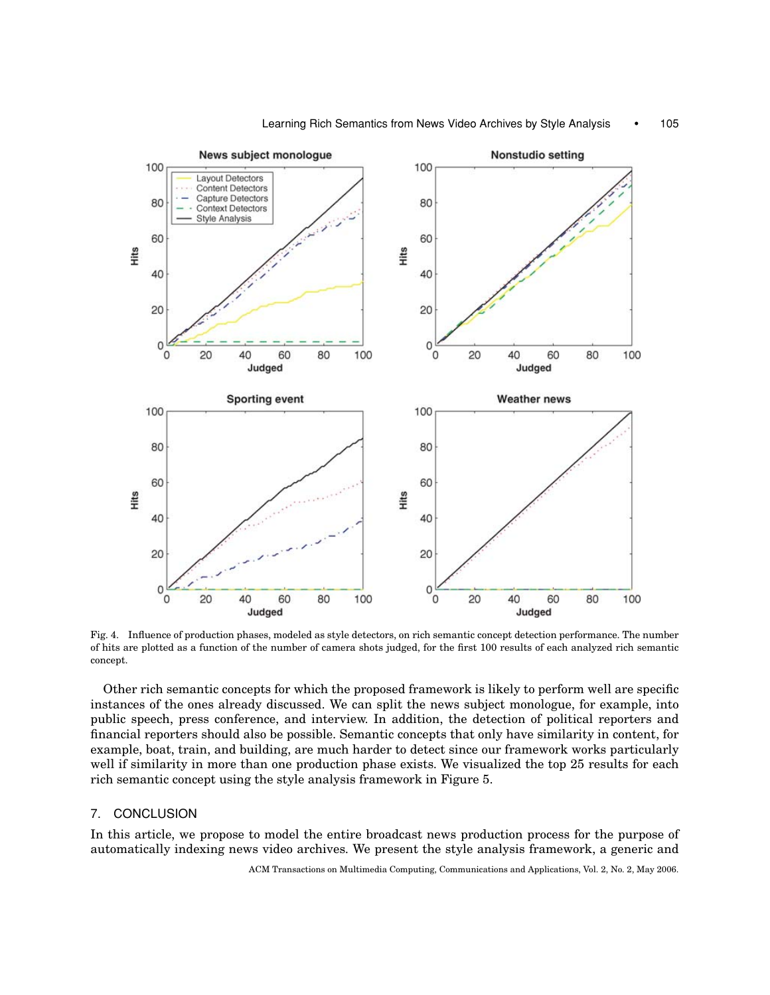

Fig. 4. Influence of production phases, modeled as style detectors, on rich semantic concept detection performance. The number of hits are plotted as a function of the number of camera shots judged, for the first 100 results of each analyzed rich semantic concept.

Other rich semantic concepts for which the proposed framework is likely to perform well are specific instances of the ones already discussed. We can split the news subject monologue, for example, into public speech, press conference, and interview. In addition, the detection of political reporters and financial reporters should also be possible. Semantic concepts that only have similarity in content, for example, boat, train, and building, are much harder to detect since our framework works particularly well if similarity in more than one production phase exists. We visualized the top 25 results for each rich semantic concept using the style analysis framework in Figure 5.

#### 7. CONCLUSION

In this article, we propose to model the entire broadcast news production process for the purpose of automatically indexing news video archives. We present the style analysis framework, a generic and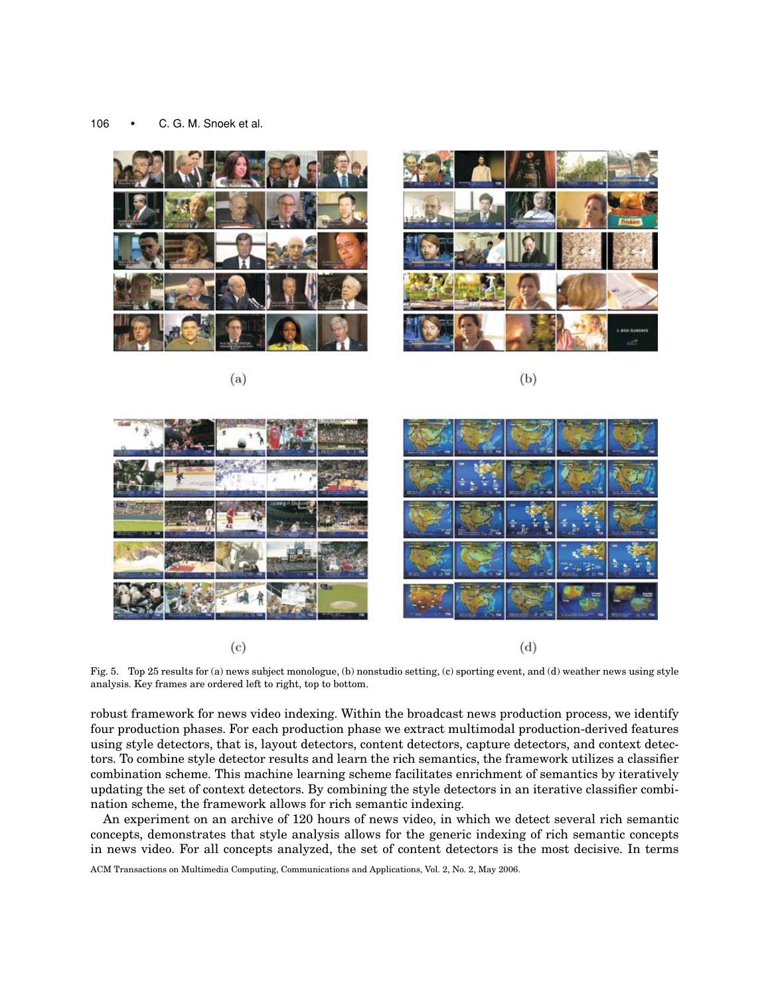



 $(a)$ 

 $(b)$ 



 $(c)$ 

 $(d)$ 

Fig. 5. Top 25 results for (a) news subject monologue, (b) nonstudio setting, (c) sporting event, and (d) weather news using style analysis. Key frames are ordered left to right, top to bottom.

robust framework for news video indexing. Within the broadcast news production process, we identify four production phases. For each production phase we extract multimodal production-derived features using style detectors, that is, layout detectors, content detectors, capture detectors, and context detectors. To combine style detector results and learn the rich semantics, the framework utilizes a classifier combination scheme. This machine learning scheme facilitates enrichment of semantics by iteratively updating the set of context detectors. By combining the style detectors in an iterative classifier combination scheme, the framework allows for rich semantic indexing.

An experiment on an archive of 120 hours of news video, in which we detect several rich semantic concepts, demonstrates that style analysis allows for the generic indexing of rich semantic concepts in news video. For all concepts analyzed, the set of content detectors is the most decisive. In terms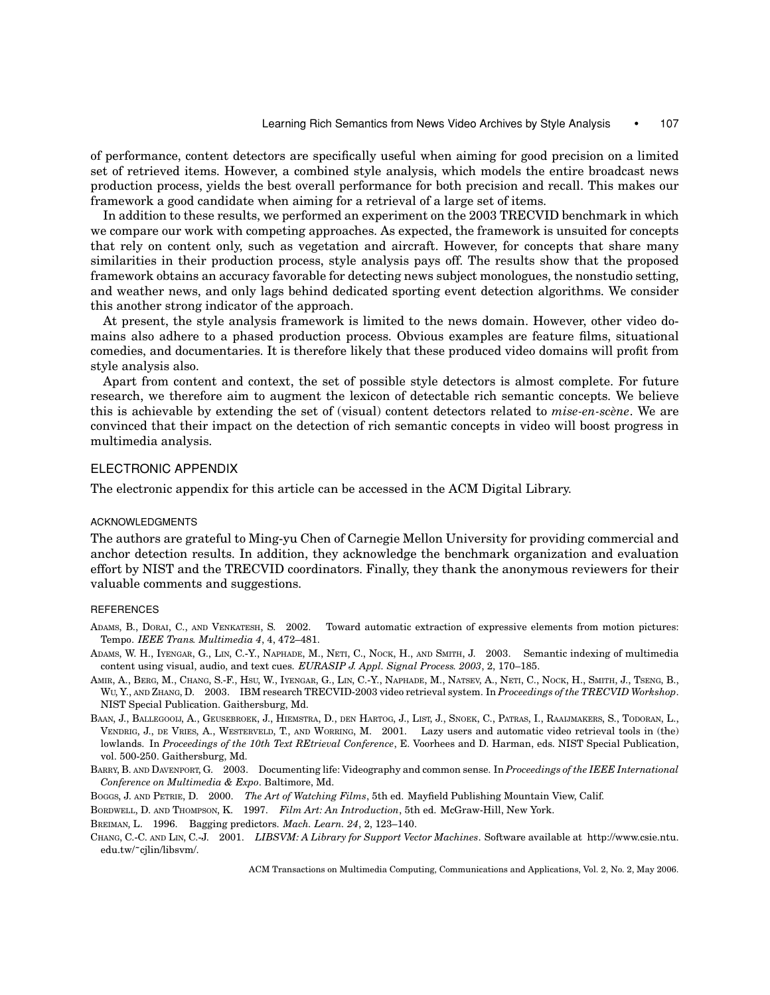of performance, content detectors are specifically useful when aiming for good precision on a limited set of retrieved items. However, a combined style analysis, which models the entire broadcast news production process, yields the best overall performance for both precision and recall. This makes our framework a good candidate when aiming for a retrieval of a large set of items.

In addition to these results, we performed an experiment on the 2003 TRECVID benchmark in which we compare our work with competing approaches. As expected, the framework is unsuited for concepts that rely on content only, such as vegetation and aircraft. However, for concepts that share many similarities in their production process, style analysis pays off. The results show that the proposed framework obtains an accuracy favorable for detecting news subject monologues, the nonstudio setting, and weather news, and only lags behind dedicated sporting event detection algorithms. We consider this another strong indicator of the approach.

At present, the style analysis framework is limited to the news domain. However, other video domains also adhere to a phased production process. Obvious examples are feature films, situational comedies, and documentaries. It is therefore likely that these produced video domains will profit from style analysis also.

Apart from content and context, the set of possible style detectors is almost complete. For future research, we therefore aim to augment the lexicon of detectable rich semantic concepts. We believe this is achievable by extending the set of (visual) content detectors related to *mise-en-sc`ene*. We are convinced that their impact on the detection of rich semantic concepts in video will boost progress in multimedia analysis.

#### ELECTRONIC APPENDIX

The electronic appendix for this article can be accessed in the ACM Digital Library.

#### ACKNOWLEDGMENTS

The authors are grateful to Ming-yu Chen of Carnegie Mellon University for providing commercial and anchor detection results. In addition, they acknowledge the benchmark organization and evaluation effort by NIST and the TRECVID coordinators. Finally, they thank the anonymous reviewers for their valuable comments and suggestions.

#### **REFERENCES**

- ADAMS, B., DORAI, C., AND VENKATESH, S. 2002. Toward automatic extraction of expressive elements from motion pictures: Tempo. *IEEE Trans. Multimedia 4*, 4, 472–481.
- ADAMS, W. H., IYENGAR, G., LIN, C.-Y., NAPHADE, M., NETI, C., NOCK, H., AND SMITH, J. 2003. Semantic indexing of multimedia content using visual, audio, and text cues. *EURASIP J. Appl. Signal Process. 2003*, 2, 170–185.
- AMIR, A., BERG, M., CHANG, S.-F., HSU, W., IYENGAR, G., LIN, C.-Y., NAPHADE, M., NATSEV, A., NETI, C., NOCK, H., SMITH, J., TSENG, B., WU, Y., AND ZHANG, D. 2003. IBM research TRECVID-2003 video retrieval system. In *Proceedings of the TRECVID Workshop*. NIST Special Publication. Gaithersburg, Md.
- BAAN, J., BALLEGOOIJ, A., GEUSEBROEK, J., HIEMSTRA, D., DEN HARTOG, J., LIST, J., SNOEK, C., PATRAS, I., RAAIJMAKERS, S., TODORAN, L., VENDRIG, J., DE VRIES, A., WESTERVELD, T., AND WORRING, M. 2001. Lazy users and automatic video retrieval tools in (the) lowlands. In *Proceedings of the 10th Text REtrieval Conference*, E. Voorhees and D. Harman, eds. NIST Special Publication, vol. 500-250. Gaithersburg, Md.
- BARRY, B. AND DAVENPORT, G. 2003. Documenting life: Videography and common sense. In *Proceedings of the IEEE International Conference on Multimedia & Expo*. Baltimore, Md.

BOGGS, J. AND PETRIE, D. 2000. *The Art of Watching Films*, 5th ed. Mayfield Publishing Mountain View, Calif.

BORDWELL, D. AND THOMPSON, K. 1997. *Film Art: An Introduction*, 5th ed. McGraw-Hill, New York.

BREIMAN, L. 1996. Bagging predictors. *Mach. Learn. 24*, 2, 123–140.

CHANG, C.-C. AND LIN, C.-J. 2001. *LIBSVM: A Library for Support Vector Machines*. Software available at http://www.csie.ntu. edu.tw/~cjlin/libsvm/.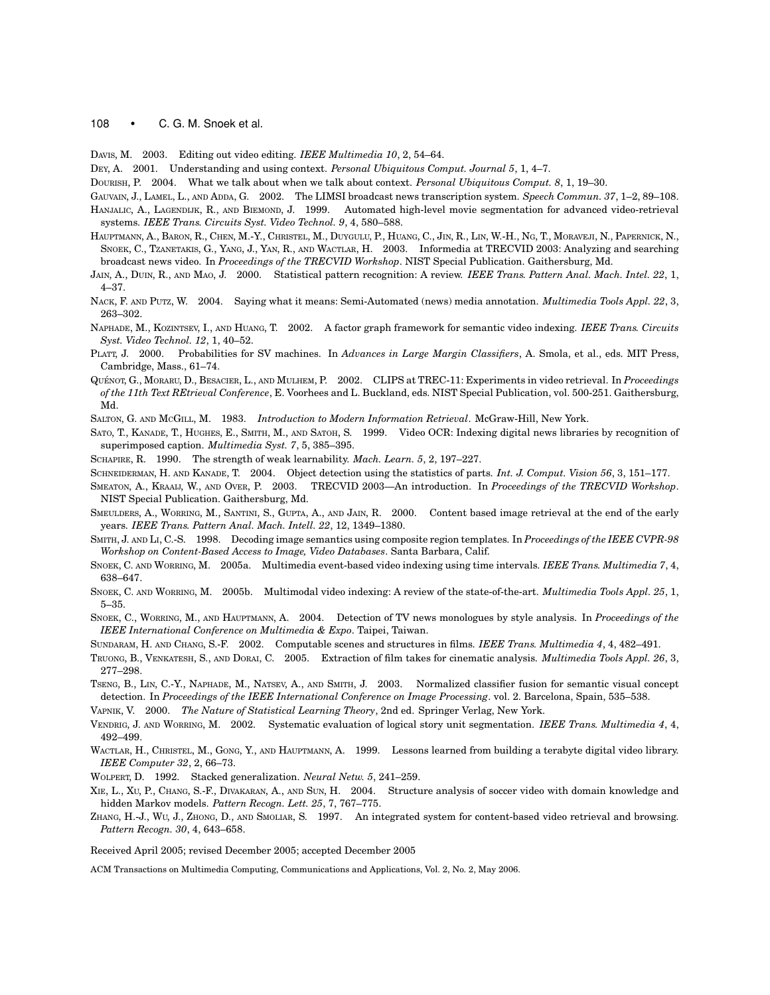DAVIS, M. 2003. Editing out video editing. *IEEE Multimedia 10*, 2, 54–64.

DEY, A. 2001. Understanding and using context. *Personal Ubiquitous Comput. Journal 5*, 1, 4–7.

DOURISH, P. 2004. What we talk about when we talk about context. *Personal Ubiquitous Comput. 8*, 1, 19–30.

GAUVAIN, J., LAMEL, L., AND ADDA, G. 2002. The LIMSI broadcast news transcription system. *Speech Commun. 37*, 1–2, 89–108.

- HANJALIC, A., LAGENDIJK, R., AND BIEMOND, J. 1999. Automated high-level movie segmentation for advanced video-retrieval systems. *IEEE Trans. Circuits Syst. Video Technol. 9*, 4, 580–588.
- HAUPTMANN, A., BARON, R., CHEN, M.-Y., CHRISTEL, M., DUYGULU, P., HUANG, C., JIN, R., LIN, W.-H., NG, T., MORAVEJI, N., PAPERNICK, N., SNOEK, C., TZANETAKIS, G., YANG, J., YAN, R., AND WACTLAR, H. 2003. Informedia at TRECVID 2003: Analyzing and searching broadcast news video. In *Proceedings of the TRECVID Workshop*. NIST Special Publication. Gaithersburg, Md.
- JAIN, A., DUIN, R., AND MAO, J. 2000. Statistical pattern recognition: A review. *IEEE Trans. Pattern Anal. Mach. Intel. 22*, 1, 4–37.
- NACK, F. AND PUTZ, W. 2004. Saying what it means: Semi-Automated (news) media annotation. *Multimedia Tools Appl. 22*, 3, 263–302.
- NAPHADE, M., KOZINTSEV, I., AND HUANG, T. 2002. A factor graph framework for semantic video indexing. *IEEE Trans. Circuits Syst. Video Technol. 12*, 1, 40–52.
- PLATT, J. 2000. Probabilities for SV machines. In *Advances in Large Margin Classifiers*, A. Smola, et al., eds. MIT Press, Cambridge, Mass., 61–74.
- QUENOT ´ , G., MORARU, D., BESACIER, L., AND MULHEM, P. 2002. CLIPS at TREC-11: Experiments in video retrieval. In *Proceedings of the 11th Text REtrieval Conference*, E. Voorhees and L. Buckland, eds. NIST Special Publication, vol. 500-251. Gaithersburg, Md.

SALTON, G. AND MCGILL, M. 1983. *Introduction to Modern Information Retrieval*. McGraw-Hill, New York.

- SATO, T., KANADE, T., HUGHES, E., SMITH, M., AND SATOH, S. 1999. Video OCR: Indexing digital news libraries by recognition of superimposed caption. *Multimedia Syst. 7*, 5, 385–395.
- SCHAPIRE, R. 1990. The strength of weak learnability. *Mach. Learn. 5*, 2, 197–227.
- SCHNEIDERMAN, H. AND KANADE, T. 2004. Object detection using the statistics of parts. *Int. J. Comput. Vision 56*, 3, 151–177.
- SMEATON, A., KRAAIJ, W., AND OVER, P. 2003. TRECVID 2003—An introduction. In *Proceedings of the TRECVID Workshop*. NIST Special Publication. Gaithersburg, Md.
- SMEULDERS, A., WORRING, M., SANTINI, S., GUPTA, A., AND JAIN, R. 2000. Content based image retrieval at the end of the early years. *IEEE Trans. Pattern Anal. Mach. Intell. 22*, 12, 1349–1380.
- SMITH, J. AND LI, C.-S. 1998. Decoding image semantics using composite region templates. In *Proceedings of the IEEE CVPR-98 Workshop on Content-Based Access to Image, Video Databases*. Santa Barbara, Calif.
- SNOEK, C. AND WORRING, M. 2005a. Multimedia event-based video indexing using time intervals. *IEEE Trans. Multimedia 7*, 4, 638–647.
- SNOEK, C. AND WORRING, M. 2005b. Multimodal video indexing: A review of the state-of-the-art. *Multimedia Tools Appl. 25*, 1, 5–35.
- SNOEK, C., WORRING, M., AND HAUPTMANN, A. 2004. Detection of TV news monologues by style analysis. In *Proceedings of the IEEE International Conference on Multimedia & Expo*. Taipei, Taiwan.

SUNDARAM, H. AND CHANG, S.-F. 2002. Computable scenes and structures in films. *IEEE Trans. Multimedia 4*, 4, 482–491.

- TRUONG, B., VENKATESH, S., AND DORAI, C. 2005. Extraction of film takes for cinematic analysis. *Multimedia Tools Appl. 26*, 3, 277–298.
- TSENG, B., LIN, C.-Y., NAPHADE, M., NATSEV, A., AND SMITH, J. 2003. Normalized classifier fusion for semantic visual concept detection. In *Proceedings of the IEEE International Conference on Image Processing*. vol. 2. Barcelona, Spain, 535–538.

VAPNIK, V. 2000. *The Nature of Statistical Learning Theory*, 2nd ed. Springer Verlag, New York.

- VENDRIG, J. AND WORRING, M. 2002. Systematic evaluation of logical story unit segmentation. *IEEE Trans. Multimedia 4*, 4, 492–499.
- WACTLAR, H., CHRISTEL, M., GONG, Y., AND HAUPTMANN, A. 1999. Lessons learned from building a terabyte digital video library. *IEEE Computer 32*, 2, 66–73.
- WOLPERT, D. 1992. Stacked generalization. *Neural Netw. 5*, 241–259.

XIE, L., XU, P., CHANG, S.-F., DIVAKARAN, A., AND SUN, H. 2004. Structure analysis of soccer video with domain knowledge and hidden Markov models. *Pattern Recogn. Lett. 25*, 7, 767–775.

ZHANG, H.-J., WU, J., ZHONG, D., AND SMOLIAR, S. 1997. An integrated system for content-based video retrieval and browsing. *Pattern Recogn. 30*, 4, 643–658.

Received April 2005; revised December 2005; accepted December 2005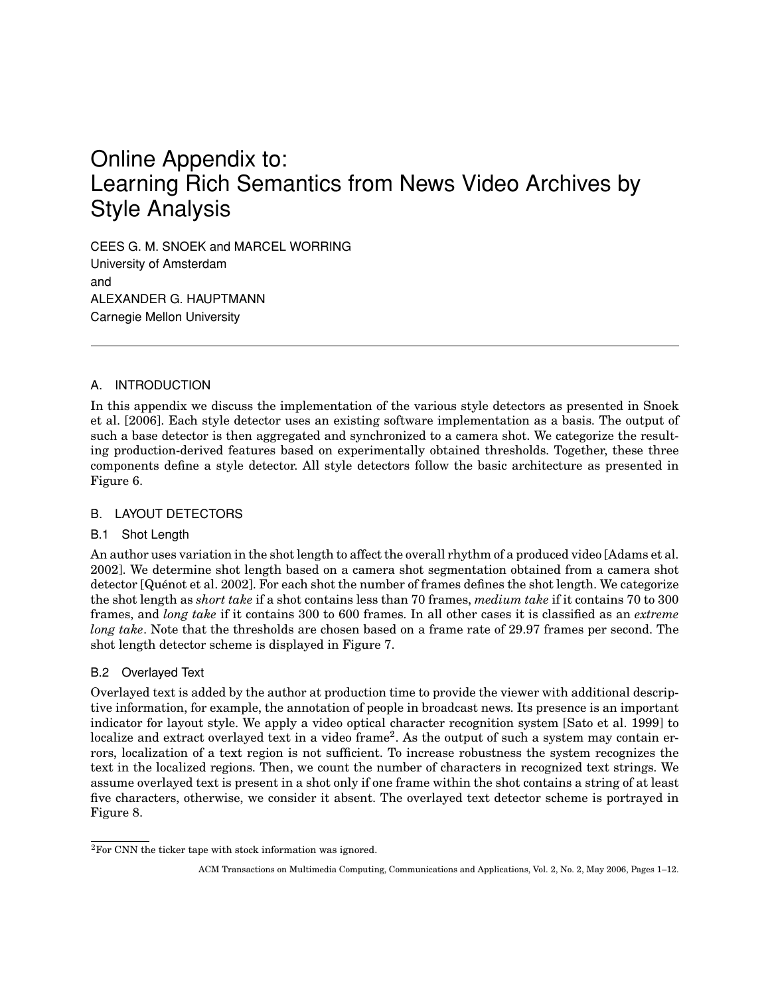# Online Appendix to: Learning Rich Semantics from News Video Archives by Style Analysis

CEES G. M. SNOEK and MARCEL WORRING University of Amsterdam and ALEXANDER G. HAUPTMANN Carnegie Mellon University

## A. INTRODUCTION

In this appendix we discuss the implementation of the various style detectors as presented in Snoek et al. [2006]. Each style detector uses an existing software implementation as a basis. The output of such a base detector is then aggregated and synchronized to a camera shot. We categorize the resulting production-derived features based on experimentally obtained thresholds. Together, these three components define a style detector. All style detectors follow the basic architecture as presented in Figure 6.

# B. LAYOUT DETECTORS

## B.1 Shot Length

An author uses variation in the shot length to affect the overall rhythm of a produced video [Adams et al. 2002]. We determine shot length based on a camera shot segmentation obtained from a camera shot detector [Quénot et al. 2002]. For each shot the number of frames defines the shot length. We categorize the shot length as *short take* if a shot contains less than 70 frames, *medium take* if it contains 70 to 300 frames, and *long take* if it contains 300 to 600 frames. In all other cases it is classified as an *extreme long take*. Note that the thresholds are chosen based on a frame rate of 29.97 frames per second. The shot length detector scheme is displayed in Figure 7.

## B.2 Overlayed Text

Overlayed text is added by the author at production time to provide the viewer with additional descriptive information, for example, the annotation of people in broadcast news. Its presence is an important indicator for layout style. We apply a video optical character recognition system [Sato et al. 1999] to localize and extract overlayed text in a video frame<sup>2</sup>. As the output of such a system may contain errors, localization of a text region is not sufficient. To increase robustness the system recognizes the text in the localized regions. Then, we count the number of characters in recognized text strings. We assume overlayed text is present in a shot only if one frame within the shot contains a string of at least five characters, otherwise, we consider it absent. The overlayed text detector scheme is portrayed in Figure 8.

<sup>&</sup>lt;sup>2</sup>For CNN the ticker tape with stock information was ignored.

ACM Transactions on Multimedia Computing, Communications and Applications, Vol. 2, No. 2, May 2006, Pages 1–12.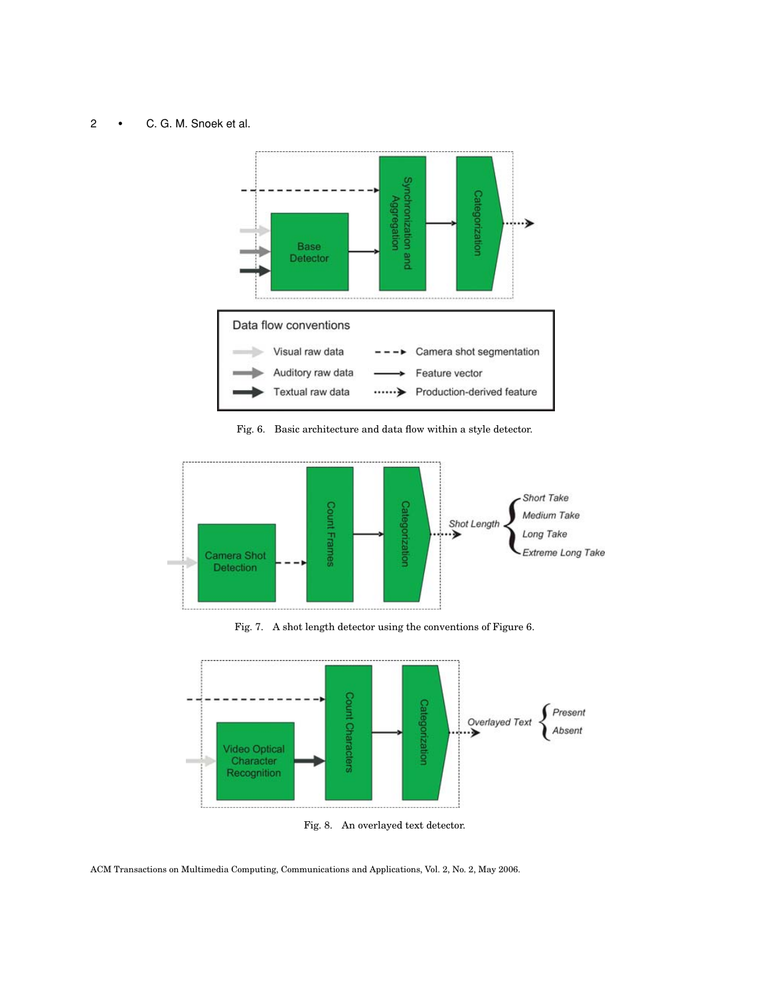

Fig. 6. Basic architecture and data flow within a style detector.







Fig. 8. An overlayed text detector.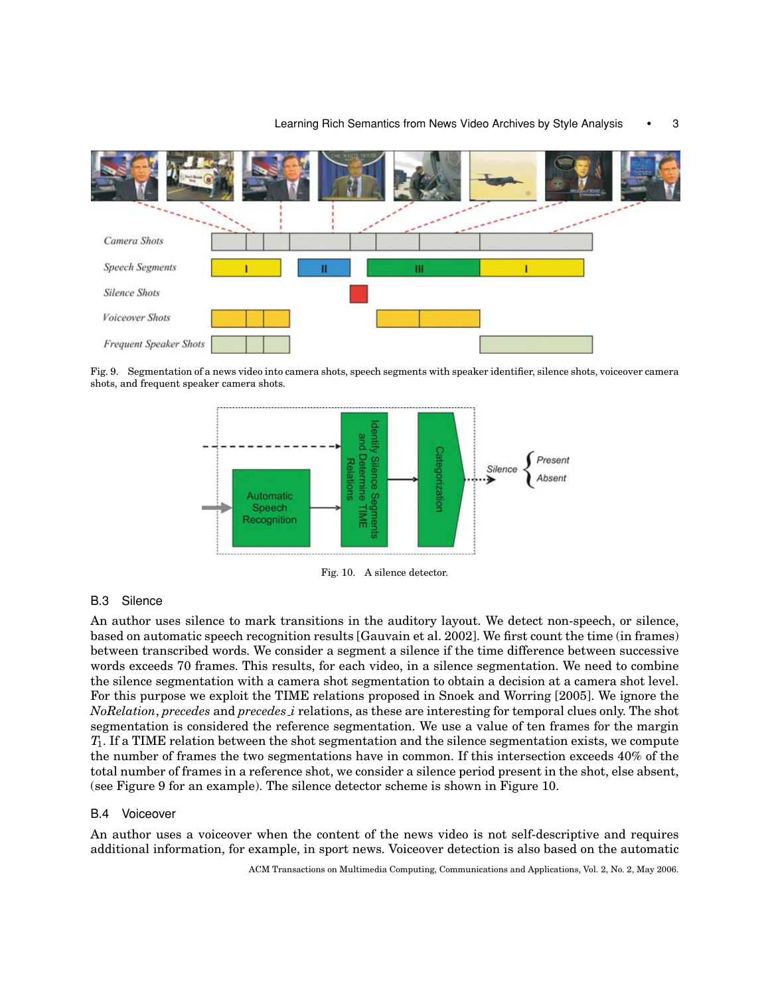

Fig. 9. Segmentation of a news video into camera shots, speech segments with speaker identifier, silence shots, voiceover camera shots, and frequent speaker camera shots.



Fig. 10. A silence detector.

### B.3 Silence

An author uses silence to mark transitions in the auditory layout. We detect non-speech, or silence, based on automatic speech recognition results [Gauvain et al. 2002]. We first count the time (in frames) between transcribed words. We consider a segment a silence if the time difference between successive words exceeds 70 frames. This results, for each video, in a silence segmentation. We need to combine the silence segmentation with a camera shot segmentation to obtain a decision at a camera shot level. For this purpose we exploit the TIME relations proposed in Snoek and Worring [2005]. We ignore the *NoRelation*, *precedes* and *precedes i* relations, as these are interesting for temporal clues only. The shot segmentation is considered the reference segmentation. We use a value of ten frames for the margin *T*1. If a TIME relation between the shot segmentation and the silence segmentation exists, we compute the number of frames the two segmentations have in common. If this intersection exceeds 40% of the total number of frames in a reference shot, we consider a silence period present in the shot, else absent, (see Figure 9 for an example). The silence detector scheme is shown in Figure 10.

#### B.4 Voiceover

An author uses a voiceover when the content of the news video is not self-descriptive and requires additional information, for example, in sport news. Voiceover detection is also based on the automatic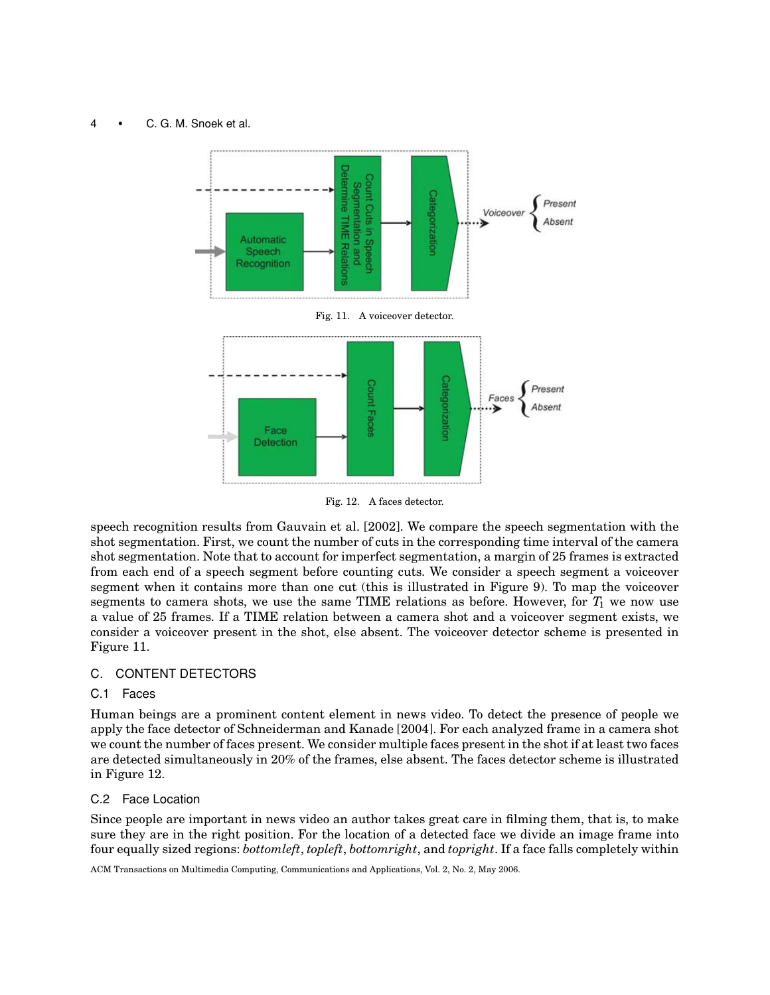

Fig. 12. A faces detector.

speech recognition results from Gauvain et al. [2002]. We compare the speech segmentation with the shot segmentation. First, we count the number of cuts in the corresponding time interval of the camera shot segmentation. Note that to account for imperfect segmentation, a margin of 25 frames is extracted from each end of a speech segment before counting cuts. We consider a speech segment a voiceover segment when it contains more than one cut (this is illustrated in Figure 9). To map the voiceover segments to camera shots, we use the same TIME relations as before. However, for  $T_1$  we now use a value of 25 frames. If a TIME relation between a camera shot and a voiceover segment exists, we consider a voiceover present in the shot, else absent. The voiceover detector scheme is presented in Figure 11.

## C. CONTENT DETECTORS

## C.1 Faces

Human beings are a prominent content element in news video. To detect the presence of people we apply the face detector of Schneiderman and Kanade [2004]. For each analyzed frame in a camera shot we count the number of faces present. We consider multiple faces present in the shot if at least two faces are detected simultaneously in 20% of the frames, else absent. The faces detector scheme is illustrated in Figure 12.

## C.2 Face Location

Since people are important in news video an author takes great care in filming them, that is, to make sure they are in the right position. For the location of a detected face we divide an image frame into four equally sized regions: *bottomleft*, *topleft*, *bottomright*, and *topright*. If a face falls completely within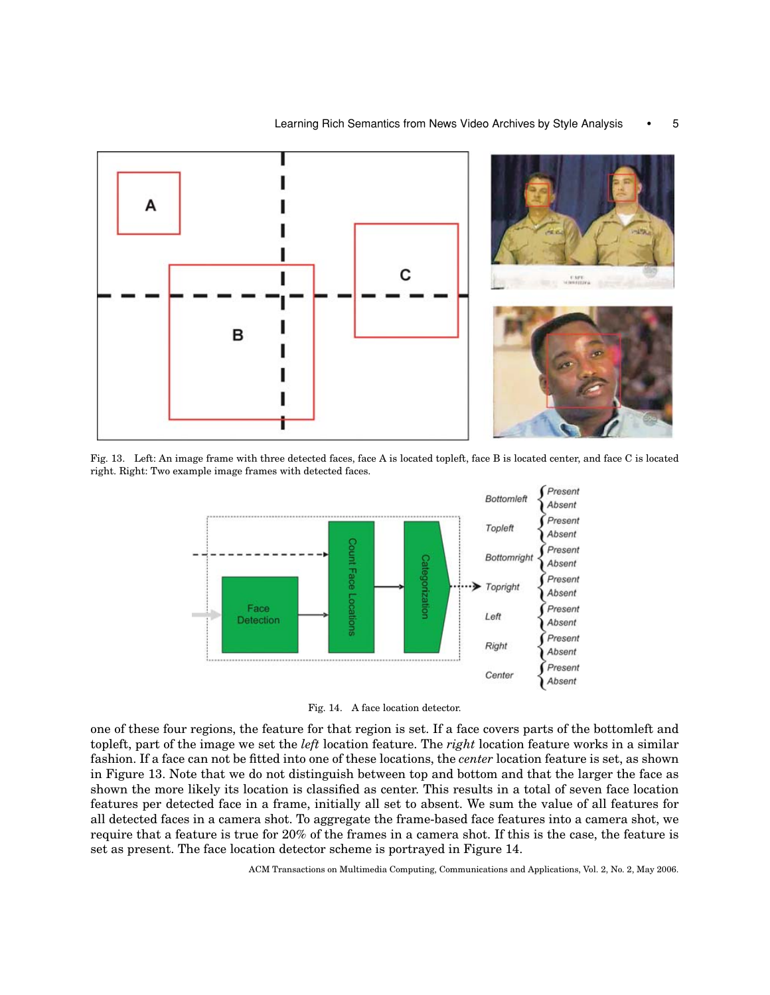

Fig. 13. Left: An image frame with three detected faces, face A is located topleft, face B is located center, and face C is located right. Right: Two example image frames with detected faces.



Fig. 14. A face location detector.

one of these four regions, the feature for that region is set. If a face covers parts of the bottomleft and topleft, part of the image we set the *left* location feature. The *right* location feature works in a similar fashion. If a face can not be fitted into one of these locations, the *center* location feature is set, as shown in Figure 13. Note that we do not distinguish between top and bottom and that the larger the face as shown the more likely its location is classified as center. This results in a total of seven face location features per detected face in a frame, initially all set to absent. We sum the value of all features for all detected faces in a camera shot. To aggregate the frame-based face features into a camera shot, we require that a feature is true for 20% of the frames in a camera shot. If this is the case, the feature is set as present. The face location detector scheme is portrayed in Figure 14.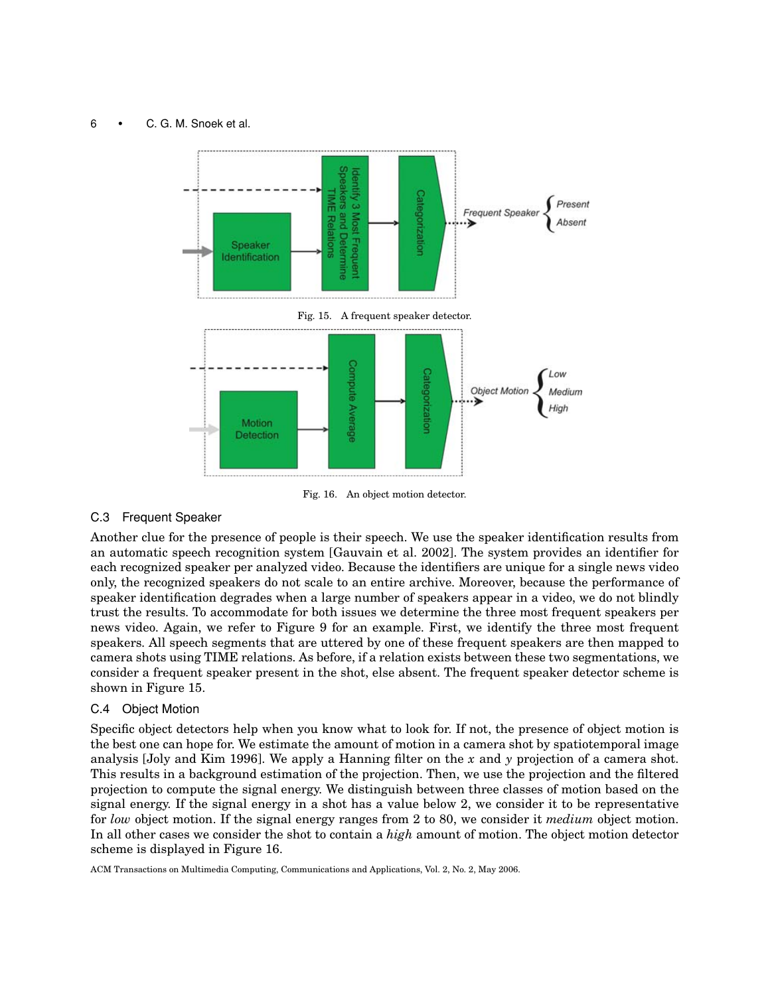

Fig. 16. An object motion detector.

## C.3 Frequent Speaker

Another clue for the presence of people is their speech. We use the speaker identification results from an automatic speech recognition system [Gauvain et al. 2002]. The system provides an identifier for each recognized speaker per analyzed video. Because the identifiers are unique for a single news video only, the recognized speakers do not scale to an entire archive. Moreover, because the performance of speaker identification degrades when a large number of speakers appear in a video, we do not blindly trust the results. To accommodate for both issues we determine the three most frequent speakers per news video. Again, we refer to Figure 9 for an example. First, we identify the three most frequent speakers. All speech segments that are uttered by one of these frequent speakers are then mapped to camera shots using TIME relations. As before, if a relation exists between these two segmentations, we consider a frequent speaker present in the shot, else absent. The frequent speaker detector scheme is shown in Figure 15.

## C.4 Object Motion

Specific object detectors help when you know what to look for. If not, the presence of object motion is the best one can hope for. We estimate the amount of motion in a camera shot by spatiotemporal image analysis [Joly and Kim 1996]. We apply a Hanning filter on the *x* and *y* projection of a camera shot. This results in a background estimation of the projection. Then, we use the projection and the filtered projection to compute the signal energy. We distinguish between three classes of motion based on the signal energy. If the signal energy in a shot has a value below 2, we consider it to be representative for *low* object motion. If the signal energy ranges from 2 to 80, we consider it *medium* object motion. In all other cases we consider the shot to contain a *high* amount of motion. The object motion detector scheme is displayed in Figure 16.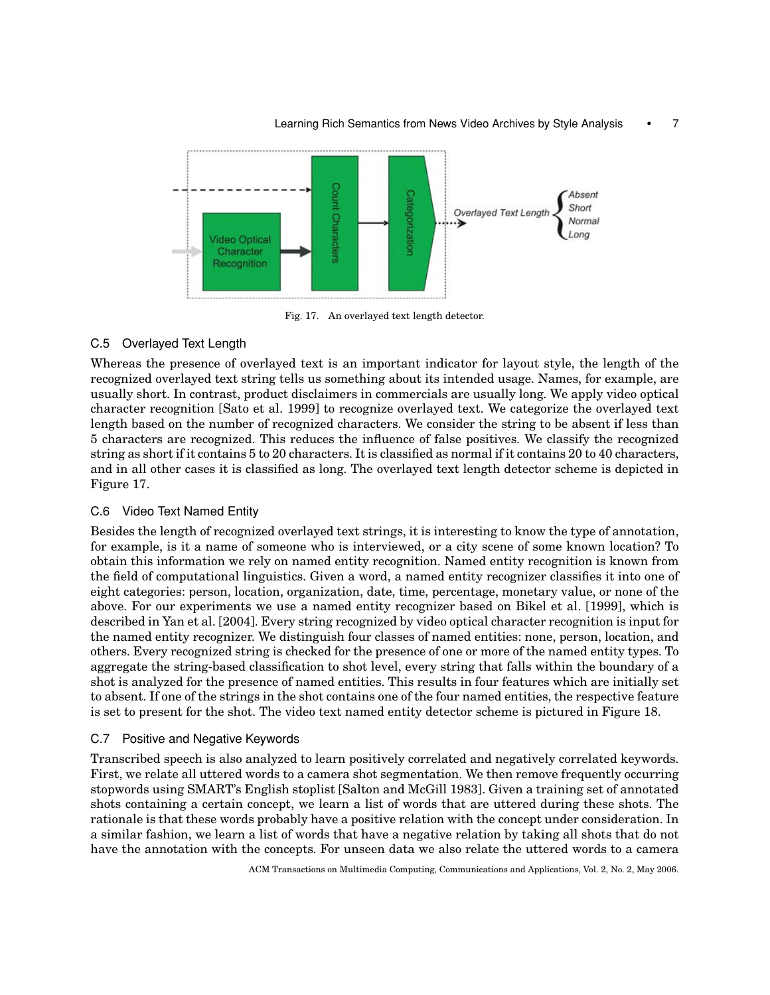

Fig. 17. An overlayed text length detector.

## C.5 Overlayed Text Length

Whereas the presence of overlayed text is an important indicator for layout style, the length of the recognized overlayed text string tells us something about its intended usage. Names, for example, are usually short. In contrast, product disclaimers in commercials are usually long. We apply video optical character recognition [Sato et al. 1999] to recognize overlayed text. We categorize the overlayed text length based on the number of recognized characters. We consider the string to be absent if less than 5 characters are recognized. This reduces the influence of false positives. We classify the recognized string as short if it contains 5 to 20 characters. It is classified as normal if it contains 20 to 40 characters, and in all other cases it is classified as long. The overlayed text length detector scheme is depicted in Figure 17.

# C.6 Video Text Named Entity

Besides the length of recognized overlayed text strings, it is interesting to know the type of annotation, for example, is it a name of someone who is interviewed, or a city scene of some known location? To obtain this information we rely on named entity recognition. Named entity recognition is known from the field of computational linguistics. Given a word, a named entity recognizer classifies it into one of eight categories: person, location, organization, date, time, percentage, monetary value, or none of the above. For our experiments we use a named entity recognizer based on Bikel et al. [1999], which is described in Yan et al. [2004]. Every string recognized by video optical character recognition is input for the named entity recognizer. We distinguish four classes of named entities: none, person, location, and others. Every recognized string is checked for the presence of one or more of the named entity types. To aggregate the string-based classification to shot level, every string that falls within the boundary of a shot is analyzed for the presence of named entities. This results in four features which are initially set to absent. If one of the strings in the shot contains one of the four named entities, the respective feature is set to present for the shot. The video text named entity detector scheme is pictured in Figure 18.

## C.7 Positive and Negative Keywords

Transcribed speech is also analyzed to learn positively correlated and negatively correlated keywords. First, we relate all uttered words to a camera shot segmentation. We then remove frequently occurring stopwords using SMART's English stoplist [Salton and McGill 1983]. Given a training set of annotated shots containing a certain concept, we learn a list of words that are uttered during these shots. The rationale is that these words probably have a positive relation with the concept under consideration. In a similar fashion, we learn a list of words that have a negative relation by taking all shots that do not have the annotation with the concepts. For unseen data we also relate the uttered words to a camera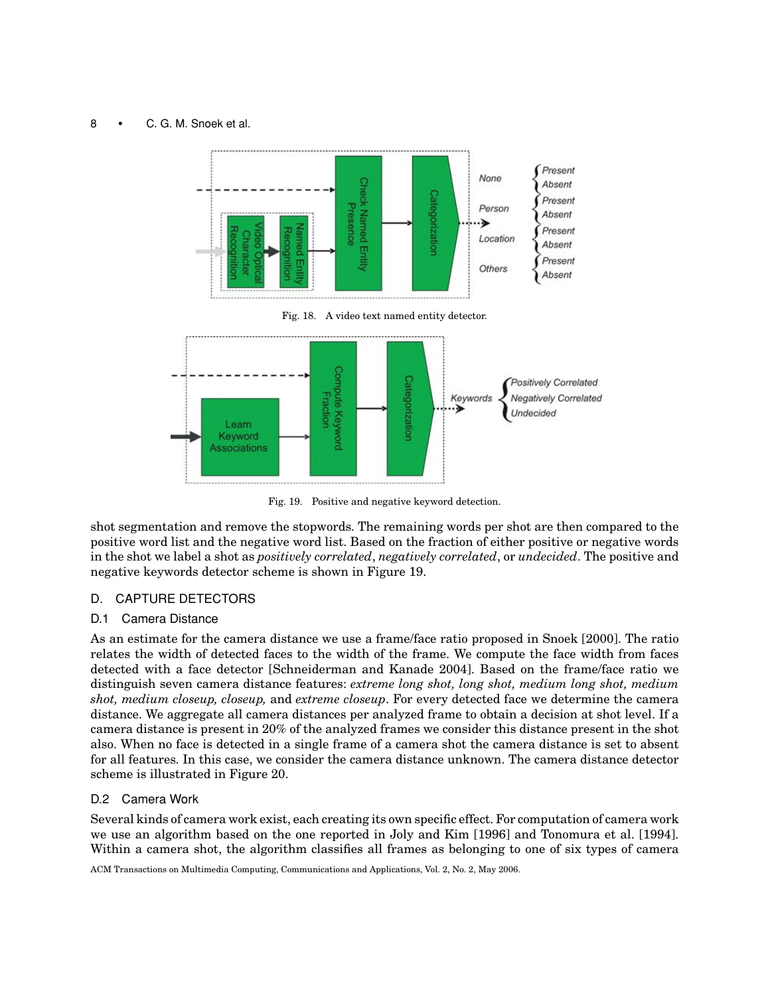



Fig. 19. Positive and negative keyword detection.

shot segmentation and remove the stopwords. The remaining words per shot are then compared to the positive word list and the negative word list. Based on the fraction of either positive or negative words in the shot we label a shot as *positively correlated*, *negatively correlated*, or *undecided*. The positive and negative keywords detector scheme is shown in Figure 19.

## D. CAPTURE DETECTORS

## D.1 Camera Distance

As an estimate for the camera distance we use a frame/face ratio proposed in Snoek [2000]. The ratio relates the width of detected faces to the width of the frame. We compute the face width from faces detected with a face detector [Schneiderman and Kanade 2004]. Based on the frame/face ratio we distinguish seven camera distance features: *extreme long shot, long shot, medium long shot, medium shot, medium closeup, closeup,* and *extreme closeup*. For every detected face we determine the camera distance. We aggregate all camera distances per analyzed frame to obtain a decision at shot level. If a camera distance is present in 20% of the analyzed frames we consider this distance present in the shot also. When no face is detected in a single frame of a camera shot the camera distance is set to absent for all features. In this case, we consider the camera distance unknown. The camera distance detector scheme is illustrated in Figure 20.

## D.2 Camera Work

Several kinds of camera work exist, each creating its own specific effect. For computation of camera work we use an algorithm based on the one reported in Joly and Kim [1996] and Tonomura et al. [1994]. Within a camera shot, the algorithm classifies all frames as belonging to one of six types of camera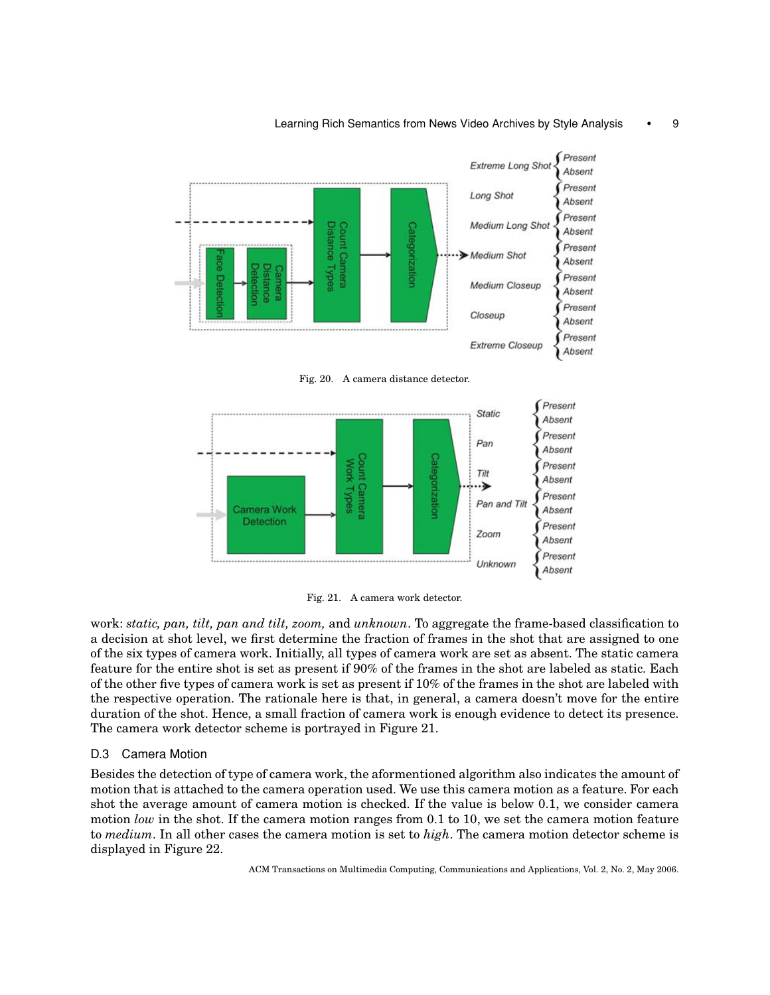#### Learning Rich Semantics from News Video Archives by Style Analysis • 9



Fig. 20. A camera distance detector.



Fig. 21. A camera work detector.

work: *static, pan, tilt, pan and tilt, zoom,* and *unknown*. To aggregate the frame-based classification to a decision at shot level, we first determine the fraction of frames in the shot that are assigned to one of the six types of camera work. Initially, all types of camera work are set as absent. The static camera feature for the entire shot is set as present if 90% of the frames in the shot are labeled as static. Each of the other five types of camera work is set as present if 10% of the frames in the shot are labeled with the respective operation. The rationale here is that, in general, a camera doesn't move for the entire duration of the shot. Hence, a small fraction of camera work is enough evidence to detect its presence. The camera work detector scheme is portrayed in Figure 21.

#### D.3 Camera Motion

Besides the detection of type of camera work, the aformentioned algorithm also indicates the amount of motion that is attached to the camera operation used. We use this camera motion as a feature. For each shot the average amount of camera motion is checked. If the value is below 0.1, we consider camera motion *low* in the shot. If the camera motion ranges from 0.1 to 10, we set the camera motion feature to *medium*. In all other cases the camera motion is set to *high*. The camera motion detector scheme is displayed in Figure 22.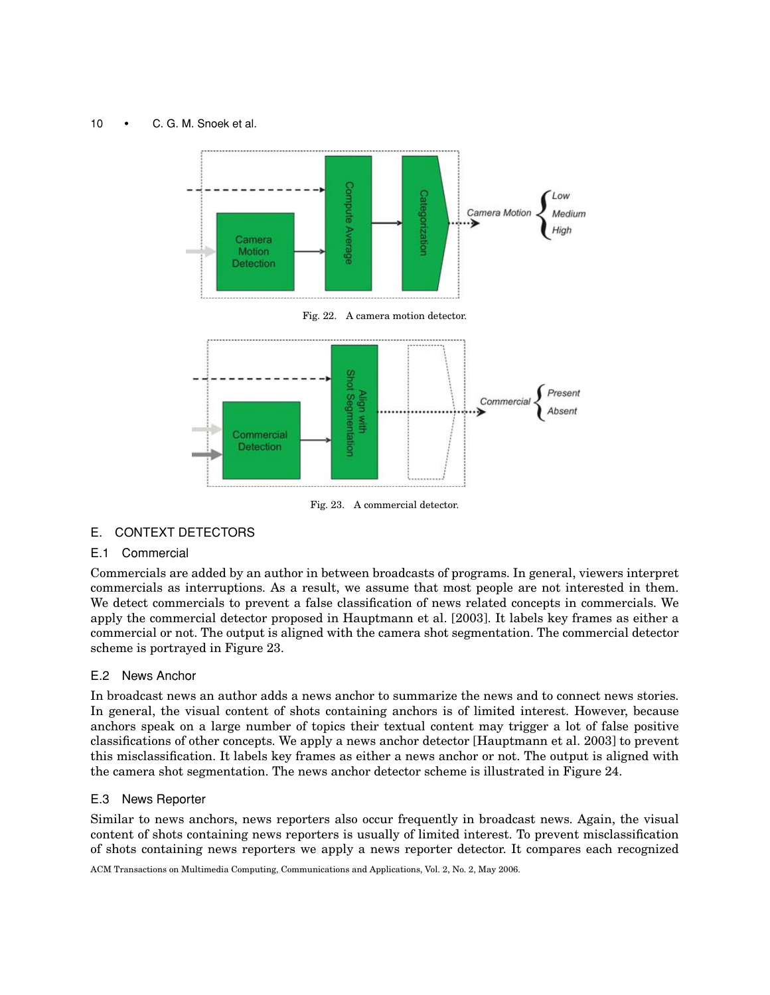

Fig. 23. A commercial detector.

# E. CONTEXT DETECTORS

## E.1 Commercial

Commercials are added by an author in between broadcasts of programs. In general, viewers interpret commercials as interruptions. As a result, we assume that most people are not interested in them. We detect commercials to prevent a false classification of news related concepts in commercials. We apply the commercial detector proposed in Hauptmann et al. [2003]. It labels key frames as either a commercial or not. The output is aligned with the camera shot segmentation. The commercial detector scheme is portrayed in Figure 23.

## E.2 News Anchor

In broadcast news an author adds a news anchor to summarize the news and to connect news stories. In general, the visual content of shots containing anchors is of limited interest. However, because anchors speak on a large number of topics their textual content may trigger a lot of false positive classifications of other concepts. We apply a news anchor detector [Hauptmann et al. 2003] to prevent this misclassification. It labels key frames as either a news anchor or not. The output is aligned with the camera shot segmentation. The news anchor detector scheme is illustrated in Figure 24.

## E.3 News Reporter

Similar to news anchors, news reporters also occur frequently in broadcast news. Again, the visual content of shots containing news reporters is usually of limited interest. To prevent misclassification of shots containing news reporters we apply a news reporter detector. It compares each recognized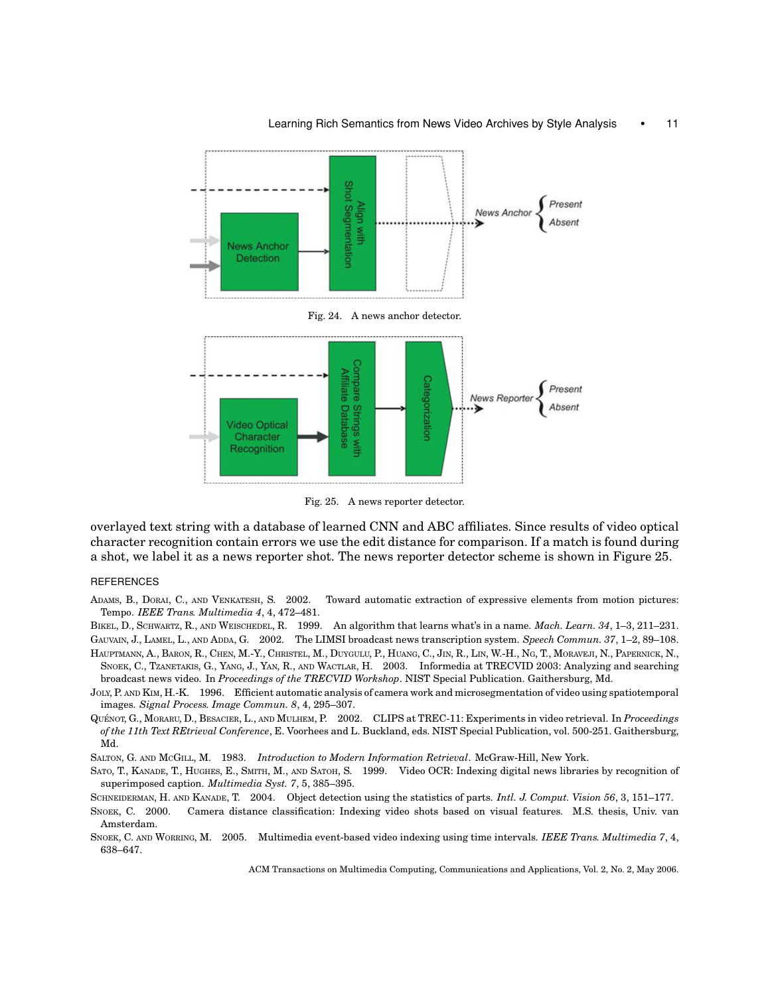

Fig. 25. A news reporter detector.

overlayed text string with a database of learned CNN and ABC affiliates. Since results of video optical character recognition contain errors we use the edit distance for comparison. If a match is found during a shot, we label it as a news reporter shot. The news reporter detector scheme is shown in Figure 25.

#### REFERENCES

- ADAMS, B., DORAI, C., AND VENKATESH, S. 2002. Toward automatic extraction of expressive elements from motion pictures: Tempo. *IEEE Trans. Multimedia 4*, 4, 472–481.
- BIKEL, D., SCHWARTZ, R., AND WEISCHEDEL, R. 1999. An algorithm that learns what's in a name. *Mach. Learn. 34*, 1–3, 211–231.

GAUVAIN, J., LAMEL, L., AND ADDA, G. 2002. The LIMSI broadcast news transcription system. *Speech Commun. 37*, 1–2, 89–108. HAUPTMANN, A., BARON, R., CHEN, M.-Y., CHRISTEL, M., DUYGULU, P., HUANG, C., JIN, R., LIN, W.-H., NG, T., MORAVEJI, N., PAPERNICK, N., SNOEK, C., TZANETAKIS, G., YANG, J., YAN, R., AND WACTLAR, H. 2003. Informedia at TRECVID 2003: Analyzing and searching

broadcast news video. In *Proceedings of the TRECVID Workshop*. NIST Special Publication. Gaithersburg, Md.

- JOLY, P. AND KIM, H.-K. 1996. Efficient automatic analysis of camera work and microsegmentation of video using spatiotemporal images. *Signal Process. Image Commun. 8*, 4, 295–307.
- QUENOT ´ , G., MORARU, D., BESACIER, L., AND MULHEM, P. 2002. CLIPS at TREC-11: Experiments in video retrieval. In *Proceedings of the 11th Text REtrieval Conference*, E. Voorhees and L. Buckland, eds. NIST Special Publication, vol. 500-251. Gaithersburg, Md.

SALTON, G. AND MCGILL, M. 1983. *Introduction to Modern Information Retrieval*. McGraw-Hill, New York.

SATO, T., KANADE, T., HUGHES, E., SMITH, M., AND SATOH, S. 1999. Video OCR: Indexing digital news libraries by recognition of superimposed caption. *Multimedia Syst. 7*, 5, 385–395.

SCHNEIDERMAN, H. AND KANADE, T. 2004. Object detection using the statistics of parts. *Intl. J. Comput. Vision 56*, 3, 151–177.

- SNOEK, C. 2000. Camera distance classification: Indexing video shots based on visual features. M.S. thesis, Univ. van Amsterdam.
- SNOEK, C. AND WORRING, M. 2005. Multimedia event-based video indexing using time intervals. *IEEE Trans. Multimedia 7*, 4, 638–647.